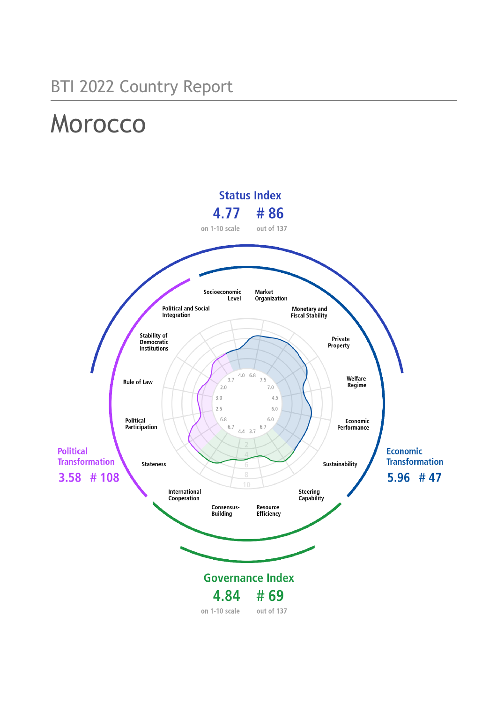## BTI 2022 Country Report

# **Morocco**

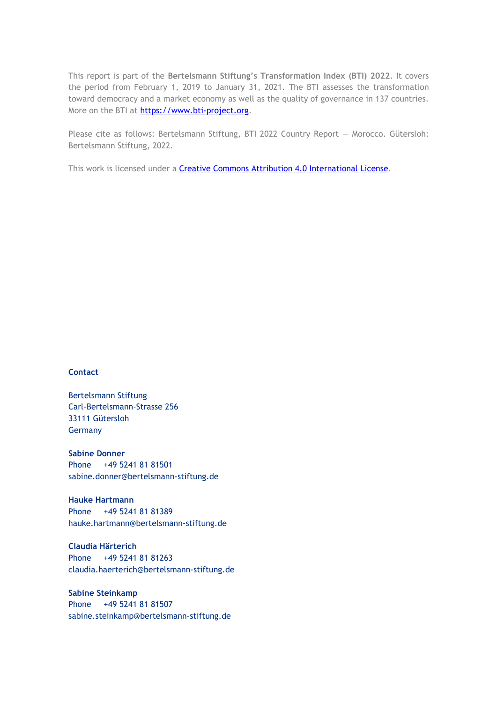This report is part of the **Bertelsmann Stiftung's Transformation Index (BTI) 2022**. It covers the period from February 1, 2019 to January 31, 2021. The BTI assesses the transformation toward democracy and a market economy as well as the quality of governance in 137 countries. More on the BTI at [https://www.bti-project.org.](https://www.bti-project.org/)

Please cite as follows: Bertelsmann Stiftung, BTI 2022 Country Report — Morocco. Gütersloh: Bertelsmann Stiftung, 2022.

This work is licensed under a **Creative Commons Attribution 4.0 International License**.

#### **Contact**

Bertelsmann Stiftung Carl-Bertelsmann-Strasse 256 33111 Gütersloh Germany

**Sabine Donner** Phone +49 5241 81 81501 sabine.donner@bertelsmann-stiftung.de

**Hauke Hartmann** Phone +49 5241 81 81389 hauke.hartmann@bertelsmann-stiftung.de

**Claudia Härterich** Phone +49 5241 81 81263 claudia.haerterich@bertelsmann-stiftung.de

#### **Sabine Steinkamp** Phone +49 5241 81 81507 sabine.steinkamp@bertelsmann-stiftung.de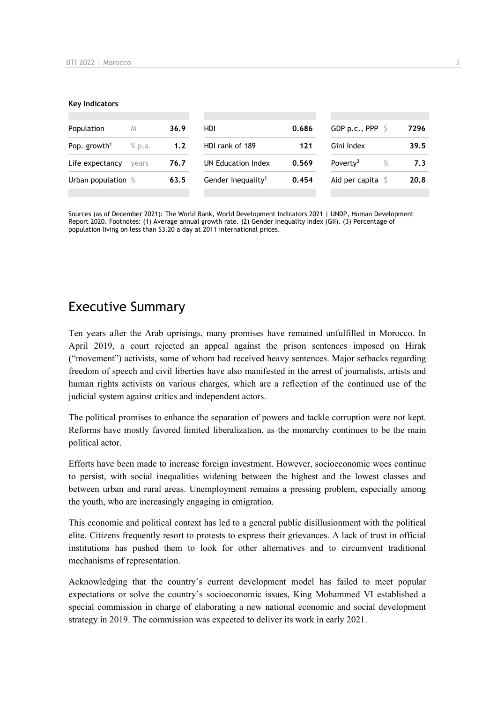#### **Key Indicators**

| Population               | M        | 36.9 | HDI.                           | 0.686 | GDP p.c., PPP $\mathsf{S}$   | 7296 |
|--------------------------|----------|------|--------------------------------|-------|------------------------------|------|
| Pop. growth <sup>1</sup> | $%$ p.a. | 1.2  | HDI rank of 189                | 121   | Gini Index                   | 39.5 |
| Life expectancy          | vears    | 76.7 | UN Education Index             | 0.569 | Poverty <sup>3</sup><br>$\%$ | 7.3  |
| Urban population %       |          | 63.5 | Gender inequality <sup>2</sup> | 0.454 | Aid per capita $\sqrt{5}$    | 20.8 |
|                          |          |      |                                |       |                              |      |

Sources (as of December 2021): The World Bank, World Development Indicators 2021 | UNDP, Human Development Report 2020. Footnotes: (1) Average annual growth rate. (2) Gender Inequality Index (GII). (3) Percentage of population living on less than \$3.20 a day at 2011 international prices.

## Executive Summary

Ten years after the Arab uprisings, many promises have remained unfulfilled in Morocco. In April 2019, a court rejected an appeal against the prison sentences imposed on Hirak ("movement") activists, some of whom had received heavy sentences. Major setbacks regarding freedom of speech and civil liberties have also manifested in the arrest of journalists, artists and human rights activists on various charges, which are a reflection of the continued use of the judicial system against critics and independent actors.

The political promises to enhance the separation of powers and tackle corruption were not kept. Reforms have mostly favored limited liberalization, as the monarchy continues to be the main political actor.

Efforts have been made to increase foreign investment. However, socioeconomic woes continue to persist, with social inequalities widening between the highest and the lowest classes and between urban and rural areas. Unemployment remains a pressing problem, especially among the youth, who are increasingly engaging in emigration.

This economic and political context has led to a general public disillusionment with the political elite. Citizens frequently resort to protests to express their grievances. A lack of trust in official institutions has pushed them to look for other alternatives and to circumvent traditional mechanisms of representation.

Acknowledging that the country's current development model has failed to meet popular expectations or solve the country's socioeconomic issues, King Mohammed VI established a special commission in charge of elaborating a new national economic and social development strategy in 2019. The commission was expected to deliver its work in early 2021.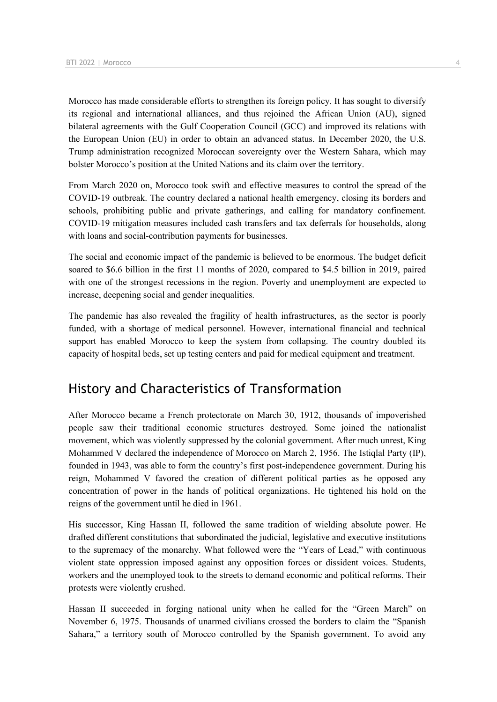Morocco has made considerable efforts to strengthen its foreign policy. It has sought to diversify its regional and international alliances, and thus rejoined the African Union (AU), signed bilateral agreements with the Gulf Cooperation Council (GCC) and improved its relations with the European Union (EU) in order to obtain an advanced status. In December 2020, the U.S. Trump administration recognized Moroccan sovereignty over the Western Sahara, which may bolster Morocco's position at the United Nations and its claim over the territory.

From March 2020 on, Morocco took swift and effective measures to control the spread of the COVID-19 outbreak. The country declared a national health emergency, closing its borders and schools, prohibiting public and private gatherings, and calling for mandatory confinement. COVID-19 mitigation measures included cash transfers and tax deferrals for households, along with loans and social-contribution payments for businesses.

The social and economic impact of the pandemic is believed to be enormous. The budget deficit soared to \$6.6 billion in the first 11 months of 2020, compared to \$4.5 billion in 2019, paired with one of the strongest recessions in the region. Poverty and unemployment are expected to increase, deepening social and gender inequalities.

The pandemic has also revealed the fragility of health infrastructures, as the sector is poorly funded, with a shortage of medical personnel. However, international financial and technical support has enabled Morocco to keep the system from collapsing. The country doubled its capacity of hospital beds, set up testing centers and paid for medical equipment and treatment.

## History and Characteristics of Transformation

After Morocco became a French protectorate on March 30, 1912, thousands of impoverished people saw their traditional economic structures destroyed. Some joined the nationalist movement, which was violently suppressed by the colonial government. After much unrest, King Mohammed V declared the independence of Morocco on March 2, 1956. The Istiqlal Party (IP), founded in 1943, was able to form the country's first post-independence government. During his reign, Mohammed V favored the creation of different political parties as he opposed any concentration of power in the hands of political organizations. He tightened his hold on the reigns of the government until he died in 1961.

His successor, King Hassan II, followed the same tradition of wielding absolute power. He drafted different constitutions that subordinated the judicial, legislative and executive institutions to the supremacy of the monarchy. What followed were the "Years of Lead," with continuous violent state oppression imposed against any opposition forces or dissident voices. Students, workers and the unemployed took to the streets to demand economic and political reforms. Their protests were violently crushed.

Hassan II succeeded in forging national unity when he called for the "Green March" on November 6, 1975. Thousands of unarmed civilians crossed the borders to claim the "Spanish Sahara," a territory south of Morocco controlled by the Spanish government. To avoid any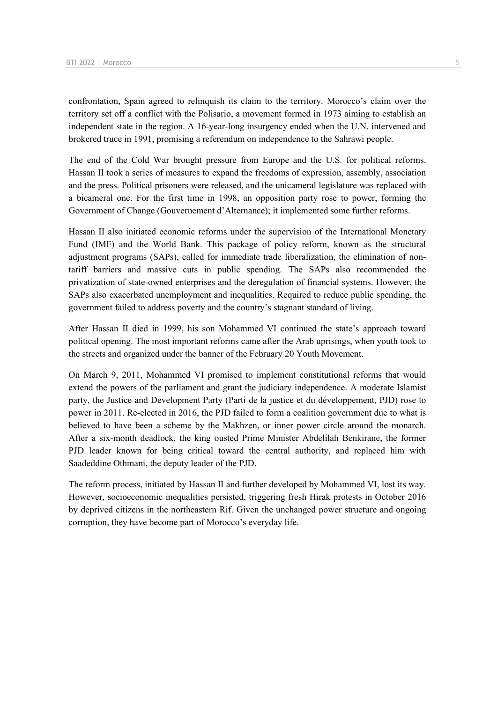confrontation, Spain agreed to relinquish its claim to the territory. Morocco's claim over the territory set off a conflict with the Polisario, a movement formed in 1973 aiming to establish an independent state in the region. A 16-year-long insurgency ended when the U.N. intervened and brokered truce in 1991, promising a referendum on independence to the Sahrawi people.

The end of the Cold War brought pressure from Europe and the U.S. for political reforms. Hassan II took a series of measures to expand the freedoms of expression, assembly, association and the press. Political prisoners were released, and the unicameral legislature was replaced with a bicameral one. For the first time in 1998, an opposition party rose to power, forming the Government of Change (Gouvernement d'Alternance); it implemented some further reforms.

Hassan II also initiated economic reforms under the supervision of the International Monetary Fund (IMF) and the World Bank. This package of policy reform, known as the structural adjustment programs (SAPs), called for immediate trade liberalization, the elimination of nontariff barriers and massive cuts in public spending. The SAPs also recommended the privatization of state-owned enterprises and the deregulation of financial systems. However, the SAPs also exacerbated unemployment and inequalities. Required to reduce public spending, the government failed to address poverty and the country's stagnant standard of living.

After Hassan II died in 1999, his son Mohammed VI continued the state's approach toward political opening. The most important reforms came after the Arab uprisings, when youth took to the streets and organized under the banner of the February 20 Youth Movement.

On March 9, 2011, Mohammed VI promised to implement constitutional reforms that would extend the powers of the parliament and grant the judiciary independence. A moderate Islamist party, the Justice and Development Party (Parti de la justice et du développement, PJD) rose to power in 2011. Re-elected in 2016, the PJD failed to form a coalition government due to what is believed to have been a scheme by the Makhzen, or inner power circle around the monarch. After a six-month deadlock, the king ousted Prime Minister Abdelilah Benkirane, the former PJD leader known for being critical toward the central authority, and replaced him with Saadeddine Othmani, the deputy leader of the PJD.

The reform process, initiated by Hassan II and further developed by Mohammed VI, lost its way. However, socioeconomic inequalities persisted, triggering fresh Hirak protests in October 2016 by deprived citizens in the northeastern Rif. Given the unchanged power structure and ongoing corruption, they have become part of Morocco's everyday life.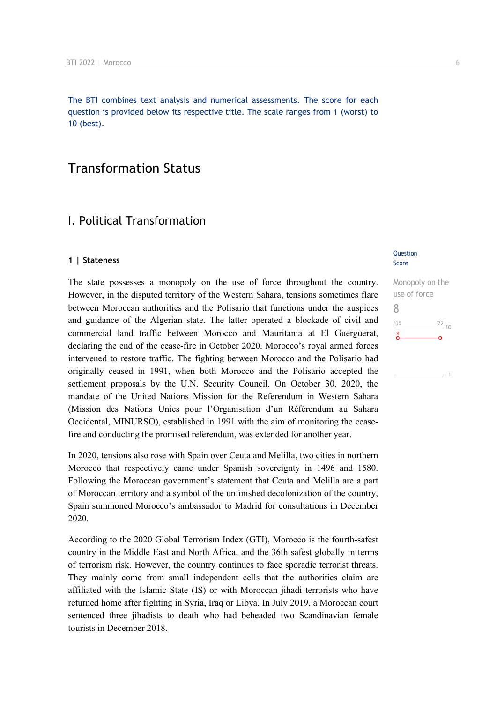The BTI combines text analysis and numerical assessments. The score for each question is provided below its respective title. The scale ranges from 1 (worst) to 10 (best).

## Transformation Status

### I. Political Transformation

#### **1 | Stateness**

The state possesses a monopoly on the use of force throughout the country. However, in the disputed territory of the Western Sahara, tensions sometimes flare between Moroccan authorities and the Polisario that functions under the auspices and guidance of the Algerian state. The latter operated a blockade of civil and commercial land traffic between Morocco and Mauritania at El Guerguerat, declaring the end of the cease-fire in October 2020. Morocco's royal armed forces intervened to restore traffic. The fighting between Morocco and the Polisario had originally ceased in 1991, when both Morocco and the Polisario accepted the settlement proposals by the U.N. Security Council. On October 30, 2020, the mandate of the United Nations Mission for the Referendum in Western Sahara (Mission des Nations Unies pour l'Organisation d'un Référendum au Sahara Occidental, MINURSO), established in 1991 with the aim of monitoring the ceasefire and conducting the promised referendum, was extended for another year.

In 2020, tensions also rose with Spain over Ceuta and Melilla, two cities in northern Morocco that respectively came under Spanish sovereignty in 1496 and 1580. Following the Moroccan government's statement that Ceuta and Melilla are a part of Moroccan territory and a symbol of the unfinished decolonization of the country, Spain summoned Morocco's ambassador to Madrid for consultations in December 2020.

According to the 2020 Global Terrorism Index (GTI), Morocco is the fourth-safest country in the Middle East and North Africa, and the 36th safest globally in terms of terrorism risk. However, the country continues to face sporadic terrorist threats. They mainly come from small independent cells that the authorities claim are affiliated with the Islamic State (IS) or with Moroccan jihadi terrorists who have returned home after fighting in Syria, Iraq or Libya. In July 2019, a Moroccan court sentenced three jihadists to death who had beheaded two Scandinavian female tourists in December 2018.

#### **Ouestion** Score

| Monopoly on the        |
|------------------------|
| use of force           |
| Χ                      |
| '06<br>$\frac{22}{10}$ |
| 8                      |
|                        |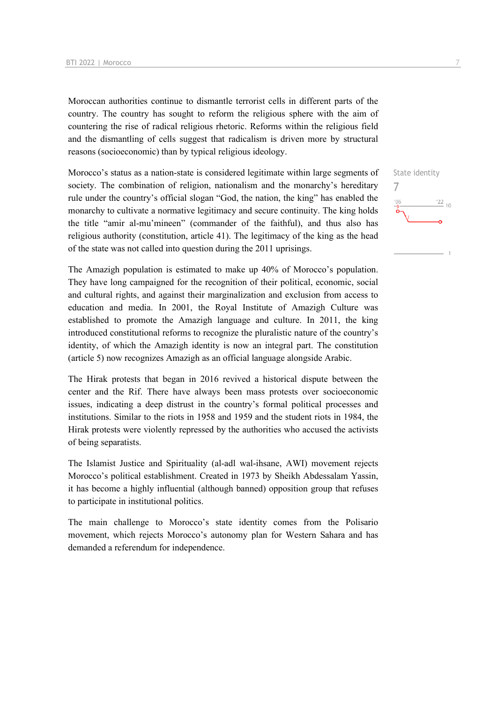Moroccan authorities continue to dismantle terrorist cells in different parts of the country. The country has sought to reform the religious sphere with the aim of countering the rise of radical religious rhetoric. Reforms within the religious field and the dismantling of cells suggest that radicalism is driven more by structural reasons (socioeconomic) than by typical religious ideology.

Morocco's status as a nation-state is considered legitimate within large segments of society. The combination of religion, nationalism and the monarchy's hereditary rule under the country's official slogan "God, the nation, the king" has enabled the monarchy to cultivate a normative legitimacy and secure continuity. The king holds the title "amir al-mu'mineen" (commander of the faithful), and thus also has religious authority (constitution, article 41). The legitimacy of the king as the head of the state was not called into question during the 2011 uprisings.

The Amazigh population is estimated to make up 40% of Morocco's population. They have long campaigned for the recognition of their political, economic, social and cultural rights, and against their marginalization and exclusion from access to education and media. In 2001, the Royal Institute of Amazigh Culture was established to promote the Amazigh language and culture. In 2011, the king introduced constitutional reforms to recognize the pluralistic nature of the country's identity, of which the Amazigh identity is now an integral part. The constitution (article 5) now recognizes Amazigh as an official language alongside Arabic.

The Hirak protests that began in 2016 revived a historical dispute between the center and the Rif. There have always been mass protests over socioeconomic issues, indicating a deep distrust in the country's formal political processes and institutions. Similar to the riots in 1958 and 1959 and the student riots in 1984, the Hirak protests were violently repressed by the authorities who accused the activists of being separatists.

The Islamist Justice and Spirituality (al-adl wal-ihsane, AWI) movement rejects Morocco's political establishment. Created in 1973 by Sheikh Abdessalam Yassin, it has become a highly influential (although banned) opposition group that refuses to participate in institutional politics.

The main challenge to Morocco's state identity comes from the Polisario movement, which rejects Morocco's autonomy plan for Western Sahara and has demanded a referendum for independence.

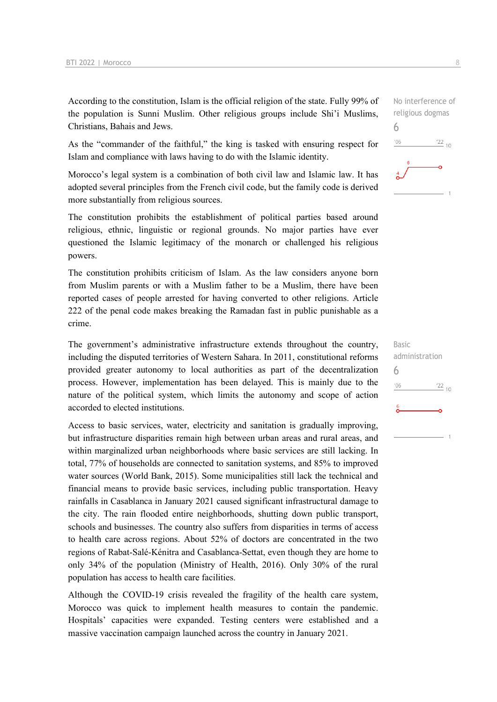According to the constitution, Islam is the official religion of the state. Fully 99% of the population is Sunni Muslim. Other religious groups include Shi'i Muslims, Christians, Bahais and Jews.

As the "commander of the faithful," the king is tasked with ensuring respect for Islam and compliance with laws having to do with the Islamic identity.

Morocco's legal system is a combination of both civil law and Islamic law. It has adopted several principles from the French civil code, but the family code is derived more substantially from religious sources.

The constitution prohibits the establishment of political parties based around religious, ethnic, linguistic or regional grounds. No major parties have ever questioned the Islamic legitimacy of the monarch or challenged his religious powers.

The constitution prohibits criticism of Islam. As the law considers anyone born from Muslim parents or with a Muslim father to be a Muslim, there have been reported cases of people arrested for having converted to other religions. Article 222 of the penal code makes breaking the Ramadan fast in public punishable as a crime.

The government's administrative infrastructure extends throughout the country, including the disputed territories of Western Sahara. In 2011, constitutional reforms provided greater autonomy to local authorities as part of the decentralization process. However, implementation has been delayed. This is mainly due to the nature of the political system, which limits the autonomy and scope of action accorded to elected institutions.

Access to basic services, water, electricity and sanitation is gradually improving, but infrastructure disparities remain high between urban areas and rural areas, and within marginalized urban neighborhoods where basic services are still lacking. In total, 77% of households are connected to sanitation systems, and 85% to improved water sources (World Bank, 2015). Some municipalities still lack the technical and financial means to provide basic services, including public transportation. Heavy rainfalls in Casablanca in January 2021 caused significant infrastructural damage to the city. The rain flooded entire neighborhoods, shutting down public transport, schools and businesses. The country also suffers from disparities in terms of access to health care across regions. About 52% of doctors are concentrated in the two regions of Rabat-Salé-Kénitra and Casablanca-Settat, even though they are home to only 34% of the population (Ministry of Health, 2016). Only 30% of the rural population has access to health care facilities.

Although the COVID-19 crisis revealed the fragility of the health care system, Morocco was quick to implement health measures to contain the pandemic. Hospitals' capacities were expanded. Testing centers were established and a massive vaccination campaign launched across the country in January 2021.



6

Basic administration 6 $\frac{22}{10}$  $106$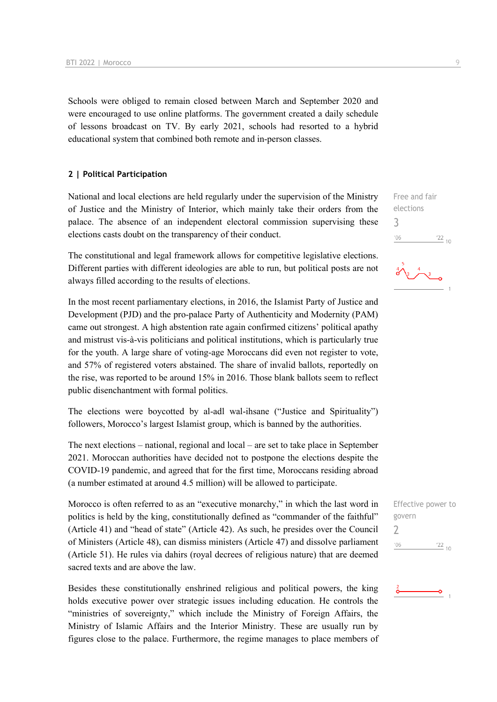Schools were obliged to remain closed between March and September 2020 and were encouraged to use online platforms. The government created a daily schedule of lessons broadcast on TV. By early 2021, schools had resorted to a hybrid educational system that combined both remote and in-person classes.

#### **2 | Political Participation**

National and local elections are held regularly under the supervision of the Ministry of Justice and the Ministry of Interior, which mainly take their orders from the palace. The absence of an independent electoral commission supervising these elections casts doubt on the transparency of their conduct.

The constitutional and legal framework allows for competitive legislative elections. Different parties with different ideologies are able to run, but political posts are not always filled according to the results of elections.

In the most recent parliamentary elections, in 2016, the Islamist Party of Justice and Development (PJD) and the pro-palace Party of Authenticity and Modernity (PAM) came out strongest. A high abstention rate again confirmed citizens' political apathy and mistrust vis-à-vis politicians and political institutions, which is particularly true for the youth. A large share of voting-age Moroccans did even not register to vote, and 57% of registered voters abstained. The share of invalid ballots, reportedly on the rise, was reported to be around 15% in 2016. Those blank ballots seem to reflect public disenchantment with formal politics.

The elections were boycotted by al-adl wal-ihsane ("Justice and Spirituality") followers, Morocco's largest Islamist group, which is banned by the authorities.

The next elections – national, regional and local – are set to take place in September 2021. Moroccan authorities have decided not to postpone the elections despite the COVID-19 pandemic, and agreed that for the first time, Moroccans residing abroad (a number estimated at around 4.5 million) will be allowed to participate.

Morocco is often referred to as an "executive monarchy," in which the last word in politics is held by the king, constitutionally defined as "commander of the faithful" (Article 41) and "head of state" (Article 42). As such, he presides over the Council of Ministers (Article 48), can dismiss ministers (Article 47) and dissolve parliament (Article 51). He rules via dahirs (royal decrees of religious nature) that are deemed sacred texts and are above the law.

Besides these constitutionally enshrined religious and political powers, the king holds executive power over strategic issues including education. He controls the "ministries of sovereignty," which include the Ministry of Foreign Affairs, the Ministry of Islamic Affairs and the Interior Ministry. These are usually run by figures close to the palace. Furthermore, the regime manages to place members of Free and fair elections 3  $n<sub>0</sub>$  $\frac{22}{10}$ 



Effective power to govern 2 $'06$  $\frac{22}{10}$ 

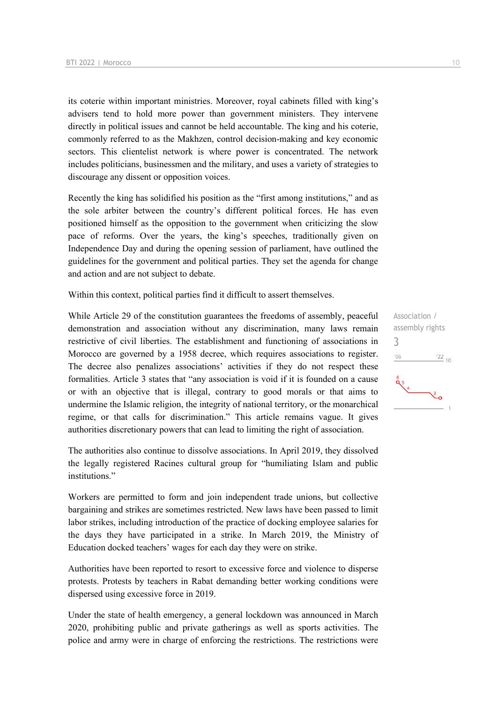its coterie within important ministries. Moreover, royal cabinets filled with king's advisers tend to hold more power than government ministers. They intervene directly in political issues and cannot be held accountable. The king and his coterie, commonly referred to as the Makhzen, control decision-making and key economic sectors. This clientelist network is where power is concentrated. The network includes politicians, businessmen and the military, and uses a variety of strategies to discourage any dissent or opposition voices.

Recently the king has solidified his position as the "first among institutions," and as the sole arbiter between the country's different political forces. He has even positioned himself as the opposition to the government when criticizing the slow pace of reforms. Over the years, the king's speeches, traditionally given on Independence Day and during the opening session of parliament, have outlined the guidelines for the government and political parties. They set the agenda for change and action and are not subject to debate.

Within this context, political parties find it difficult to assert themselves.

While Article 29 of the constitution guarantees the freedoms of assembly, peaceful demonstration and association without any discrimination, many laws remain restrictive of civil liberties. The establishment and functioning of associations in Morocco are governed by a 1958 decree, which requires associations to register. The decree also penalizes associations' activities if they do not respect these formalities. Article 3 states that "any association is void if it is founded on a cause or with an objective that is illegal, contrary to good morals or that aims to undermine the Islamic religion, the integrity of national territory, or the monarchical regime, or that calls for discrimination." This article remains vague. It gives authorities discretionary powers that can lead to limiting the right of association.

The authorities also continue to dissolve associations. In April 2019, they dissolved the legally registered Racines cultural group for "humiliating Islam and public institutions."

Workers are permitted to form and join independent trade unions, but collective bargaining and strikes are sometimes restricted. New laws have been passed to limit labor strikes, including introduction of the practice of docking employee salaries for the days they have participated in a strike. In March 2019, the Ministry of Education docked teachers' wages for each day they were on strike.

Authorities have been reported to resort to excessive force and violence to disperse protests. Protests by teachers in Rabat demanding better working conditions were dispersed using excessive force in 2019.

Under the state of health emergency, a general lockdown was announced in March 2020, prohibiting public and private gatherings as well as sports activities. The police and army were in charge of enforcing the restrictions. The restrictions were

Association / assembly rights 3 $\frac{22}{10}$  $^{\prime}06$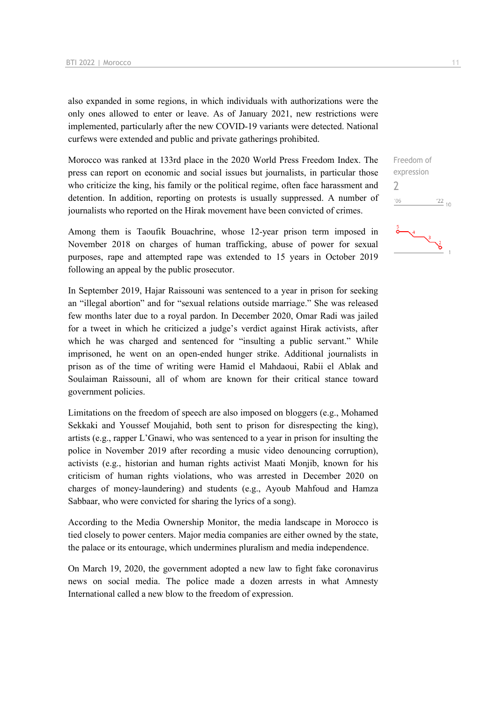also expanded in some regions, in which individuals with authorizations were the only ones allowed to enter or leave. As of January 2021, new restrictions were implemented, particularly after the new COVID-19 variants were detected. National curfews were extended and public and private gatherings prohibited.

Morocco was ranked at 133rd place in the 2020 World Press Freedom Index. The press can report on economic and social issues but journalists, in particular those who criticize the king, his family or the political regime, often face harassment and detention. In addition, reporting on protests is usually suppressed. A number of journalists who reported on the Hirak movement have been convicted of crimes.

Among them is Taoufik Bouachrine, whose 12-year prison term imposed in November 2018 on charges of human trafficking, abuse of power for sexual purposes, rape and attempted rape was extended to 15 years in October 2019 following an appeal by the public prosecutor.

In September 2019, Hajar Raissouni was sentenced to a year in prison for seeking an "illegal abortion" and for "sexual relations outside marriage." She was released few months later due to a royal pardon. In December 2020, Omar Radi was jailed for a tweet in which he criticized a judge's verdict against Hirak activists, after which he was charged and sentenced for "insulting a public servant." While imprisoned, he went on an open-ended hunger strike. Additional journalists in prison as of the time of writing were Hamid el Mahdaoui, Rabii el Ablak and Soulaiman Raissouni, all of whom are known for their critical stance toward government policies.

Limitations on the freedom of speech are also imposed on bloggers (e.g., Mohamed Sekkaki and Youssef Moujahid, both sent to prison for disrespecting the king), artists (e.g., rapper L'Gnawi, who was sentenced to a year in prison for insulting the police in November 2019 after recording a music video denouncing corruption), activists (e.g., historian and human rights activist Maati Monjib, known for his criticism of human rights violations, who was arrested in December 2020 on charges of money-laundering) and students (e.g., Ayoub Mahfoud and Hamza Sabbaar, who were convicted for sharing the lyrics of a song).

According to the Media Ownership Monitor, the media landscape in Morocco is tied closely to power centers. Major media companies are either owned by the state, the palace or its entourage, which undermines pluralism and media independence.

On March 19, 2020, the government adopted a new law to fight fake coronavirus news on social media. The police made a dozen arrests in what Amnesty International called a new blow to the freedom of expression.

Freedom of expression  $\overline{\phantom{0}}$  $\frac{1}{22}$  10  $^{\prime}06$ 

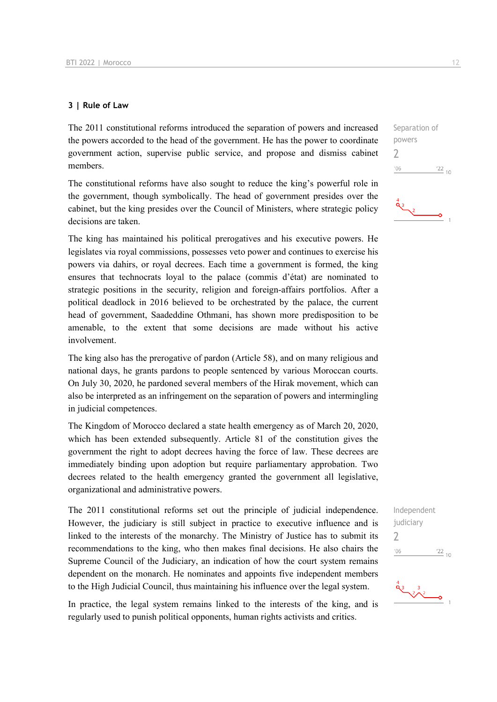#### **3 | Rule of Law**

The 2011 constitutional reforms introduced the separation of powers and increased the powers accorded to the head of the government. He has the power to coordinate government action, supervise public service, and propose and dismiss cabinet members.

The constitutional reforms have also sought to reduce the king's powerful role in the government, though symbolically. The head of government presides over the cabinet, but the king presides over the Council of Ministers, where strategic policy decisions are taken.

The king has maintained his political prerogatives and his executive powers. He legislates via royal commissions, possesses veto power and continues to exercise his powers via dahirs, or royal decrees. Each time a government is formed, the king ensures that technocrats loyal to the palace (commis d'état) are nominated to strategic positions in the security, religion and foreign-affairs portfolios. After a political deadlock in 2016 believed to be orchestrated by the palace, the current head of government, Saadeddine Othmani, has shown more predisposition to be amenable, to the extent that some decisions are made without his active involvement.

The king also has the prerogative of pardon (Article 58), and on many religious and national days, he grants pardons to people sentenced by various Moroccan courts. On July 30, 2020, he pardoned several members of the Hirak movement, which can also be interpreted as an infringement on the separation of powers and intermingling in judicial competences.

The Kingdom of Morocco declared a state health emergency as of March 20, 2020, which has been extended subsequently. Article 81 of the constitution gives the government the right to adopt decrees having the force of law. These decrees are immediately binding upon adoption but require parliamentary approbation. Two decrees related to the health emergency granted the government all legislative, organizational and administrative powers.

The 2011 constitutional reforms set out the principle of judicial independence. However, the judiciary is still subject in practice to executive influence and is linked to the interests of the monarchy. The Ministry of Justice has to submit its recommendations to the king, who then makes final decisions. He also chairs the Supreme Council of the Judiciary, an indication of how the court system remains dependent on the monarch. He nominates and appoints five independent members to the High Judicial Council, thus maintaining his influence over the legal system.

In practice, the legal system remains linked to the interests of the king, and is regularly used to punish political opponents, human rights activists and critics.

Separation of powers  $\overline{\phantom{0}}$  $^{\prime}06$  $\frac{22}{10}$ قرء  $\sqrt{2}$ 

Independent judiciary  $\overline{\phantom{0}}$  $06'$  $\frac{22}{10}$ 

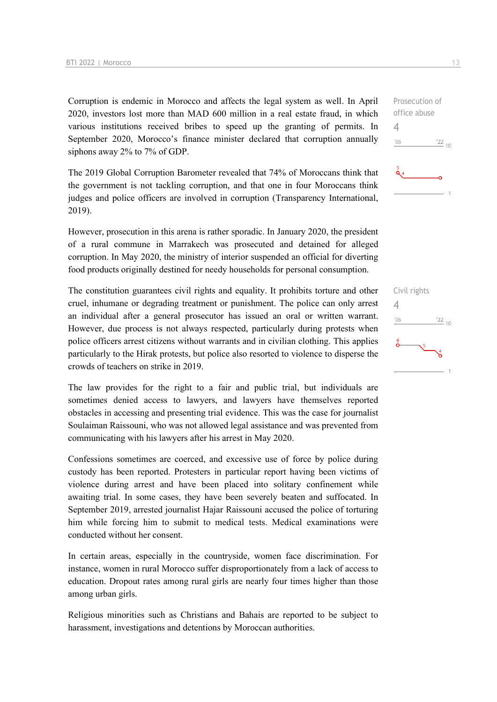Corruption is endemic in Morocco and affects the legal system as well. In April 2020, investors lost more than MAD 600 million in a real estate fraud, in which various institutions received bribes to speed up the granting of permits. In September 2020, Morocco's finance minister declared that corruption annually siphons away 2% to 7% of GDP.

The 2019 Global Corruption Barometer revealed that 74% of Moroccans think that the government is not tackling corruption, and that one in four Moroccans think judges and police officers are involved in corruption (Transparency International, 2019).

However, prosecution in this arena is rather sporadic. In January 2020, the president of a rural commune in Marrakech was prosecuted and detained for alleged corruption. In May 2020, the ministry of interior suspended an official for diverting food products originally destined for needy households for personal consumption.

The constitution guarantees civil rights and equality. It prohibits torture and other cruel, inhumane or degrading treatment or punishment. The police can only arrest an individual after a general prosecutor has issued an oral or written warrant. However, due process is not always respected, particularly during protests when police officers arrest citizens without warrants and in civilian clothing. This applies particularly to the Hirak protests, but police also resorted to violence to disperse the crowds of teachers on strike in 2019.

The law provides for the right to a fair and public trial, but individuals are sometimes denied access to lawyers, and lawyers have themselves reported obstacles in accessing and presenting trial evidence. This was the case for journalist Soulaiman Raissouni, who was not allowed legal assistance and was prevented from communicating with his lawyers after his arrest in May 2020.

Confessions sometimes are coerced, and excessive use of force by police during custody has been reported. Protesters in particular report having been victims of violence during arrest and have been placed into solitary confinement while awaiting trial. In some cases, they have been severely beaten and suffocated. In September 2019, arrested journalist Hajar Raissouni accused the police of torturing him while forcing him to submit to medical tests. Medical examinations were conducted without her consent.

In certain areas, especially in the countryside, women face discrimination. For instance, women in rural Morocco suffer disproportionately from a lack of access to education. Dropout rates among rural girls are nearly four times higher than those among urban girls.

Religious minorities such as Christians and Bahais are reported to be subject to harassment, investigations and detentions by Moroccan authorities.

Prosecution of office abuse 4  $'06$  $\frac{22}{10}$  $\frac{5}{9}$ 

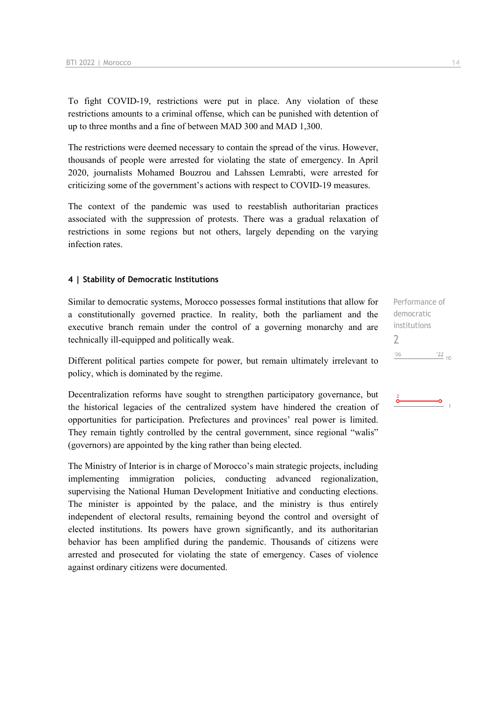To fight COVID-19, restrictions were put in place. Any violation of these restrictions amounts to a criminal offense, which can be punished with detention of up to three months and a fine of between MAD 300 and MAD 1,300.

The restrictions were deemed necessary to contain the spread of the virus. However, thousands of people were arrested for violating the state of emergency. In April 2020, journalists Mohamed Bouzrou and Lahssen Lemrabti, were arrested for criticizing some of the government's actions with respect to COVID-19 measures.

The context of the pandemic was used to reestablish authoritarian practices associated with the suppression of protests. There was a gradual relaxation of restrictions in some regions but not others, largely depending on the varying infection rates.

#### **4 | Stability of Democratic Institutions**

Similar to democratic systems, Morocco possesses formal institutions that allow for a constitutionally governed practice. In reality, both the parliament and the executive branch remain under the control of a governing monarchy and are technically ill-equipped and politically weak.

Different political parties compete for power, but remain ultimately irrelevant to policy, which is dominated by the regime.

Decentralization reforms have sought to strengthen participatory governance, but the historical legacies of the centralized system have hindered the creation of opportunities for participation. Prefectures and provinces' real power is limited. They remain tightly controlled by the central government, since regional "walis" (governors) are appointed by the king rather than being elected.

The Ministry of Interior is in charge of Morocco's main strategic projects, including implementing immigration policies, conducting advanced regionalization, supervising the National Human Development Initiative and conducting elections. The minister is appointed by the palace, and the ministry is thus entirely independent of electoral results, remaining beyond the control and oversight of elected institutions. Its powers have grown significantly, and its authoritarian behavior has been amplified during the pandemic. Thousands of citizens were arrested and prosecuted for violating the state of emergency. Cases of violence against ordinary citizens were documented.

Performance of democratic institutions  $\overline{\phantom{a}}$  $'06$  $\frac{22}{10}$ 

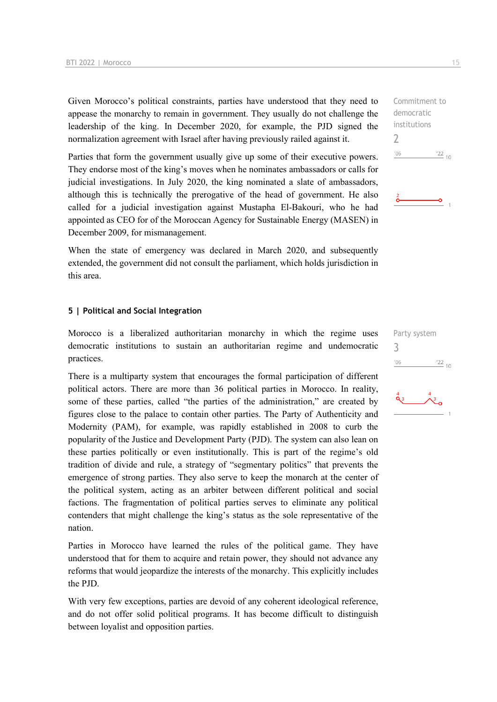Given Morocco's political constraints, parties have understood that they need to appease the monarchy to remain in government. They usually do not challenge the leadership of the king. In December 2020, for example, the PJD signed the normalization agreement with Israel after having previously railed against it.

Parties that form the government usually give up some of their executive powers. They endorse most of the king's moves when he nominates ambassadors or calls for judicial investigations. In July 2020, the king nominated a slate of ambassadors, although this is technically the prerogative of the head of government. He also called for a judicial investigation against Mustapha El-Bakouri, who he had appointed as CEO for of the Moroccan Agency for Sustainable Energy (MASEN) in December 2009, for mismanagement.

When the state of emergency was declared in March 2020, and subsequently extended, the government did not consult the parliament, which holds jurisdiction in this area.

#### **5 | Political and Social Integration**

Morocco is a liberalized authoritarian monarchy in which the regime uses democratic institutions to sustain an authoritarian regime and undemocratic practices.

There is a multiparty system that encourages the formal participation of different political actors. There are more than 36 political parties in Morocco. In reality, some of these parties, called "the parties of the administration," are created by figures close to the palace to contain other parties. The Party of Authenticity and Modernity (PAM), for example, was rapidly established in 2008 to curb the popularity of the Justice and Development Party (PJD). The system can also lean on these parties politically or even institutionally. This is part of the regime's old tradition of divide and rule, a strategy of "segmentary politics" that prevents the emergence of strong parties. They also serve to keep the monarch at the center of the political system, acting as an arbiter between different political and social factions. The fragmentation of political parties serves to eliminate any political contenders that might challenge the king's status as the sole representative of the nation.

Parties in Morocco have learned the rules of the political game. They have understood that for them to acquire and retain power, they should not advance any reforms that would jeopardize the interests of the monarchy. This explicitly includes the PJD.

With very few exceptions, parties are devoid of any coherent ideological reference, and do not offer solid political programs. It has become difficult to distinguish between loyalist and opposition parties.

Commitment to democratic institutions 2  $\frac{22}{10}$  $^{\prime}06$ 



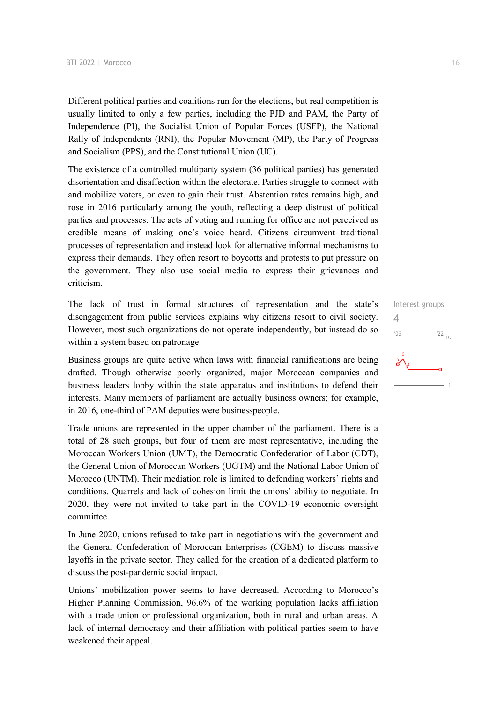Different political parties and coalitions run for the elections, but real competition is usually limited to only a few parties, including the PJD and PAM, the Party of Independence (PI), the Socialist Union of Popular Forces (USFP), the National Rally of Independents (RNI), the Popular Movement (MP), the Party of Progress and Socialism (PPS), and the Constitutional Union (UC).

The existence of a controlled multiparty system (36 political parties) has generated disorientation and disaffection within the electorate. Parties struggle to connect with and mobilize voters, or even to gain their trust. Abstention rates remains high, and rose in 2016 particularly among the youth, reflecting a deep distrust of political parties and processes. The acts of voting and running for office are not perceived as credible means of making one's voice heard. Citizens circumvent traditional processes of representation and instead look for alternative informal mechanisms to express their demands. They often resort to boycotts and protests to put pressure on the government. They also use social media to express their grievances and criticism.

The lack of trust in formal structures of representation and the state's disengagement from public services explains why citizens resort to civil society. However, most such organizations do not operate independently, but instead do so within a system based on patronage.

Business groups are quite active when laws with financial ramifications are being drafted. Though otherwise poorly organized, major Moroccan companies and business leaders lobby within the state apparatus and institutions to defend their interests. Many members of parliament are actually business owners; for example, in 2016, one-third of PAM deputies were businesspeople.

Trade unions are represented in the upper chamber of the parliament. There is a total of 28 such groups, but four of them are most representative, including the Moroccan Workers Union (UMT), the Democratic Confederation of Labor (CDT), the General Union of Moroccan Workers (UGTM) and the National Labor Union of Morocco (UNTM). Their mediation role is limited to defending workers' rights and conditions. Quarrels and lack of cohesion limit the unions' ability to negotiate. In 2020, they were not invited to take part in the COVID-19 economic oversight committee.

In June 2020, unions refused to take part in negotiations with the government and the General Confederation of Moroccan Enterprises (CGEM) to discuss massive layoffs in the private sector. They called for the creation of a dedicated platform to discuss the post-pandemic social impact.

Unions' mobilization power seems to have decreased. According to Morocco's Higher Planning Commission, 96.6% of the working population lacks affiliation with a trade union or professional organization, both in rural and urban areas. A lack of internal democracy and their affiliation with political parties seem to have weakened their appeal.

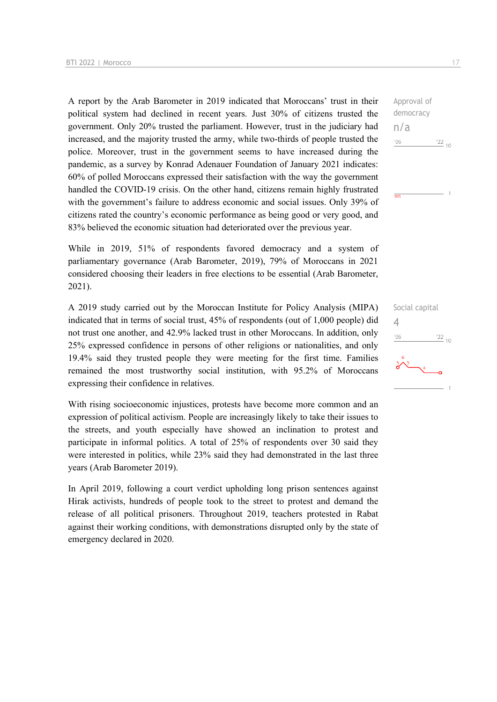A report by the Arab Barometer in 2019 indicated that Moroccans' trust in their political system had declined in recent years. Just 30% of citizens trusted the government. Only 20% trusted the parliament. However, trust in the judiciary had increased, and the majority trusted the army, while two-thirds of people trusted the police. Moreover, trust in the government seems to have increased during the pandemic, as a survey by Konrad Adenauer Foundation of January 2021 indicates: 60% of polled Moroccans expressed their satisfaction with the way the government handled the COVID-19 crisis. On the other hand, citizens remain highly frustrated with the government's failure to address economic and social issues. Only 39% of citizens rated the country's economic performance as being good or very good, and 83% believed the economic situation had deteriorated over the previous year.

While in 2019, 51% of respondents favored democracy and a system of parliamentary governance (Arab Barometer, 2019), 79% of Moroccans in 2021 considered choosing their leaders in free elections to be essential (Arab Barometer, 2021).

A 2019 study carried out by the Moroccan Institute for Policy Analysis (MIPA) indicated that in terms of social trust, 45% of respondents (out of 1,000 people) did not trust one another, and 42.9% lacked trust in other Moroccans. In addition, only 25% expressed confidence in persons of other religions or nationalities, and only 19.4% said they trusted people they were meeting for the first time. Families remained the most trustworthy social institution, with 95.2% of Moroccans expressing their confidence in relatives.

With rising socioeconomic injustices, protests have become more common and an expression of political activism. People are increasingly likely to take their issues to the streets, and youth especially have showed an inclination to protest and participate in informal politics. A total of 25% of respondents over 30 said they were interested in politics, while 23% said they had demonstrated in the last three years (Arab Barometer 2019).

In April 2019, following a court verdict upholding long prison sentences against Hirak activists, hundreds of people took to the street to protest and demand the release of all political prisoners. Throughout 2019, teachers protested in Rabat against their working conditions, with demonstrations disrupted only by the state of emergency declared in 2020.

Approval of democracy n/a  $-06$  $\frac{22}{10}$ 

 $\overline{m/s}$ 

Social capital 4 $\frac{122}{10}$  $06'$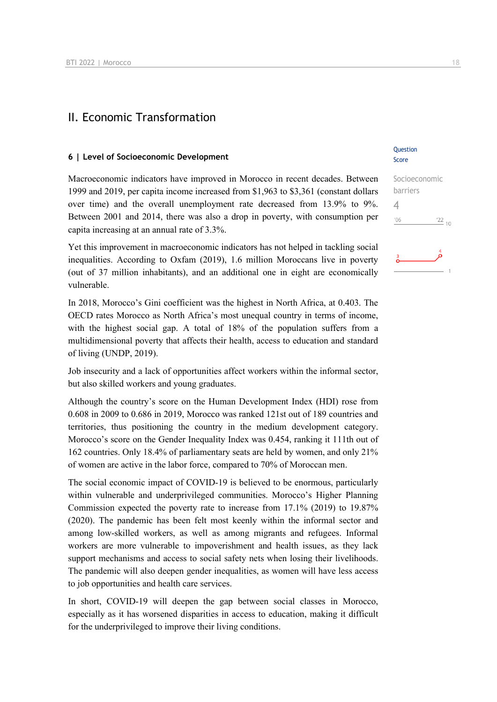## II. Economic Transformation

#### **6 | Level of Socioeconomic Development**

Macroeconomic indicators have improved in Morocco in recent decades. Between 1999 and 2019, per capita income increased from \$1,963 to \$3,361 (constant dollars over time) and the overall unemployment rate decreased from 13.9% to 9%. Between 2001 and 2014, there was also a drop in poverty, with consumption per capita increasing at an annual rate of 3.3%.

Yet this improvement in macroeconomic indicators has not helped in tackling social inequalities. According to Oxfam (2019), 1.6 million Moroccans live in poverty (out of 37 million inhabitants), and an additional one in eight are economically vulnerable.

In 2018, Morocco's Gini coefficient was the highest in North Africa, at 0.403. The OECD rates Morocco as North Africa's most unequal country in terms of income, with the highest social gap. A total of 18% of the population suffers from a multidimensional poverty that affects their health, access to education and standard of living (UNDP, 2019).

Job insecurity and a lack of opportunities affect workers within the informal sector, but also skilled workers and young graduates.

Although the country's score on the Human Development Index (HDI) rose from 0.608 in 2009 to 0.686 in 2019, Morocco was ranked 121st out of 189 countries and territories, thus positioning the country in the medium development category. Morocco's score on the Gender Inequality Index was 0.454, ranking it 111th out of 162 countries. Only 18.4% of parliamentary seats are held by women, and only 21% of women are active in the labor force, compared to 70% of Moroccan men.

The social economic impact of COVID-19 is believed to be enormous, particularly within vulnerable and underprivileged communities. Morocco's Higher Planning Commission expected the poverty rate to increase from 17.1% (2019) to 19.87% (2020). The pandemic has been felt most keenly within the informal sector and among low-skilled workers, as well as among migrants and refugees. Informal workers are more vulnerable to impoverishment and health issues, as they lack support mechanisms and access to social safety nets when losing their livelihoods. The pandemic will also deepen gender inequalities, as women will have less access to job opportunities and health care services.

In short, COVID-19 will deepen the gap between social classes in Morocco, especially as it has worsened disparities in access to education, making it difficult for the underprivileged to improve their living conditions.

#### Question Score

| Socioeconomic |               |
|---------------|---------------|
| barriers      |               |
| 4             |               |
| '06           | $^{22}_{-10}$ |
|               |               |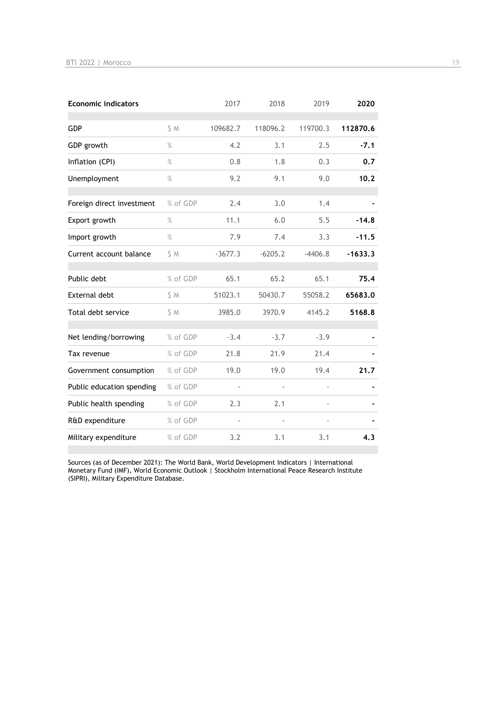| <b>Economic indicators</b> |          | 2017           | 2018      | 2019           | 2020      |
|----------------------------|----------|----------------|-----------|----------------|-----------|
| GDP                        | S M      | 109682.7       | 118096.2  | 119700.3       | 112870.6  |
| GDP growth                 | $\%$     | 4.2            | 3.1       | 2.5            | $-7.1$    |
| Inflation (CPI)            | $\%$     | 0.8            | 1.8       | 0.3            | 0.7       |
| Unemployment               | $\%$     | 9.2            | 9.1       | 9.0            | 10.2      |
| Foreign direct investment  | % of GDP | 2.4            | 3.0       | 1.4            |           |
| Export growth              | $\%$     | 11.1           | 6.0       | 5.5            | $-14.8$   |
| Import growth              | $\%$     | 7.9            | 7.4       | 3.3            | $-11.5$   |
| Current account balance    | \$M      | $-3677.3$      | $-6205.2$ | $-4406.8$      | $-1633.3$ |
| Public debt                | % of GDP | 65.1           | 65.2      | 65.1           | 75.4      |
| <b>External debt</b>       | \$ M     | 51023.1        | 50430.7   | 55058.2        | 65683.0   |
| Total debt service         | S M      | 3985.0         | 3970.9    | 4145.2         | 5168.8    |
| Net lending/borrowing      | % of GDP | $-3.4$         | $-3.7$    | $-3.9$         |           |
| Tax revenue                | % of GDP | 21.8           | 21.9      | 21.4           |           |
| Government consumption     | % of GDP | 19.0           | 19.0      | 19.4           | 21.7      |
| Public education spending  | % of GDP | $\blacksquare$ |           | $\overline{a}$ |           |
| Public health spending     | % of GDP | 2.3            | 2.1       |                |           |
| R&D expenditure            | % of GDP |                |           |                |           |
| Military expenditure       | % of GDP | 3.2            | 3.1       | 3.1            | 4.3       |

Sources (as of December 2021): The World Bank, World Development Indicators | International Monetary Fund (IMF), World Economic Outlook | Stockholm International Peace Research Institute (SIPRI), Military Expenditure Database.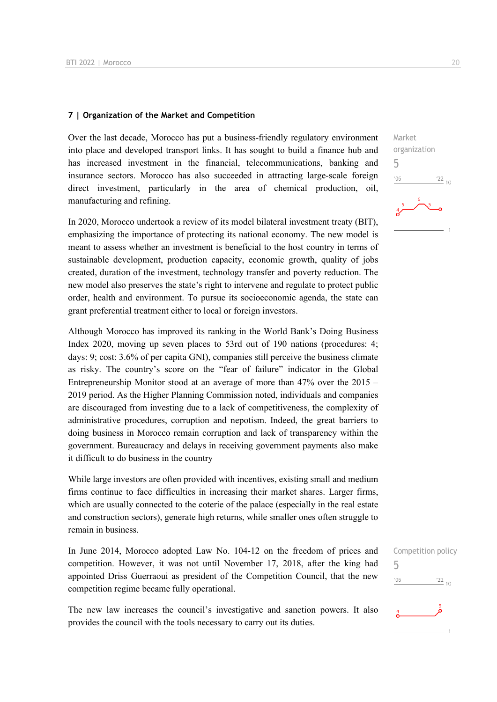#### **7 | Organization of the Market and Competition**

Over the last decade, Morocco has put a business-friendly regulatory environment into place and developed transport links. It has sought to build a finance hub and has increased investment in the financial, telecommunications, banking and insurance sectors. Morocco has also succeeded in attracting large-scale foreign direct investment, particularly in the area of chemical production, oil, manufacturing and refining.

In 2020, Morocco undertook a review of its model bilateral investment treaty (BIT), emphasizing the importance of protecting its national economy. The new model is meant to assess whether an investment is beneficial to the host country in terms of sustainable development, production capacity, economic growth, quality of jobs created, duration of the investment, technology transfer and poverty reduction. The new model also preserves the state's right to intervene and regulate to protect public order, health and environment. To pursue its socioeconomic agenda, the state can grant preferential treatment either to local or foreign investors.

Although Morocco has improved its ranking in the World Bank's Doing Business Index 2020, moving up seven places to 53rd out of 190 nations (procedures: 4; days: 9; cost: 3.6% of per capita GNI), companies still perceive the business climate as risky. The country's score on the "fear of failure" indicator in the Global Entrepreneurship Monitor stood at an average of more than 47% over the 2015 – 2019 period. As the Higher Planning Commission noted, individuals and companies are discouraged from investing due to a lack of competitiveness, the complexity of administrative procedures, corruption and nepotism. Indeed, the great barriers to doing business in Morocco remain corruption and lack of transparency within the government. Bureaucracy and delays in receiving government payments also make it difficult to do business in the country

While large investors are often provided with incentives, existing small and medium firms continue to face difficulties in increasing their market shares. Larger firms, which are usually connected to the coterie of the palace (especially in the real estate and construction sectors), generate high returns, while smaller ones often struggle to remain in business.

In June 2014, Morocco adopted Law No. 104-12 on the freedom of prices and competition. However, it was not until November 17, 2018, after the king had appointed Driss Guerraoui as president of the Competition Council, that the new competition regime became fully operational.

The new law increases the council's investigative and sanction powers. It also provides the council with the tools necessary to carry out its duties.

| Competition policy<br>5 |                 |
|-------------------------|-----------------|
| '06                     | $\frac{22}{10}$ |
|                         | Ō               |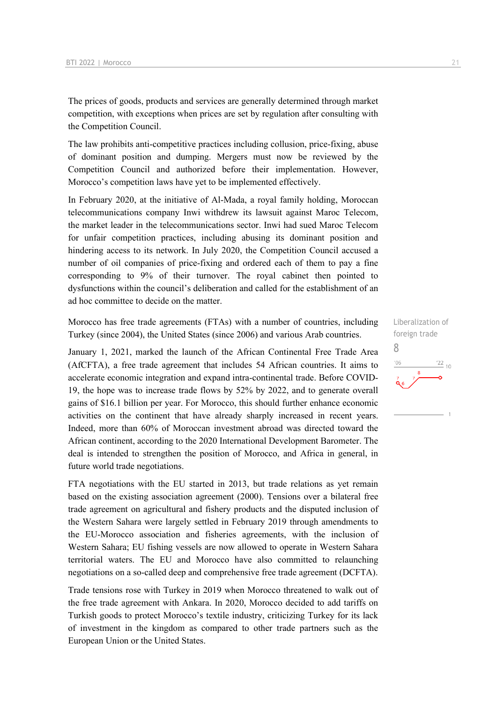The prices of goods, products and services are generally determined through market competition, with exceptions when prices are set by regulation after consulting with the Competition Council.

The law prohibits anti-competitive practices including collusion, price-fixing, abuse of dominant position and dumping. Mergers must now be reviewed by the Competition Council and authorized before their implementation. However, Morocco's competition laws have yet to be implemented effectively.

In February 2020, at the initiative of Al-Mada, a royal family holding, Moroccan telecommunications company Inwi withdrew its lawsuit against Maroc Telecom, the market leader in the telecommunications sector. Inwi had sued Maroc Telecom for unfair competition practices, including abusing its dominant position and hindering access to its network. In July 2020, the Competition Council accused a number of oil companies of price-fixing and ordered each of them to pay a fine corresponding to 9% of their turnover. The royal cabinet then pointed to dysfunctions within the council's deliberation and called for the establishment of an ad hoc committee to decide on the matter.

Morocco has free trade agreements (FTAs) with a number of countries, including Turkey (since 2004), the United States (since 2006) and various Arab countries.

January 1, 2021, marked the launch of the African Continental Free Trade Area (AfCFTA), a free trade agreement that includes 54 African countries. It aims to accelerate economic integration and expand intra-continental trade. Before COVID-19, the hope was to increase trade flows by 52% by 2022, and to generate overall gains of \$16.1 billion per year. For Morocco, this should further enhance economic activities on the continent that have already sharply increased in recent years. Indeed, more than 60% of Moroccan investment abroad was directed toward the African continent, according to the 2020 International Development Barometer. The deal is intended to strengthen the position of Morocco, and Africa in general, in future world trade negotiations.

FTA negotiations with the EU started in 2013, but trade relations as yet remain based on the existing association agreement (2000). Tensions over a bilateral free trade agreement on agricultural and fishery products and the disputed inclusion of the Western Sahara were largely settled in February 2019 through amendments to the EU-Morocco association and fisheries agreements, with the inclusion of Western Sahara; EU fishing vessels are now allowed to operate in Western Sahara territorial waters. The EU and Morocco have also committed to relaunching negotiations on a so-called deep and comprehensive free trade agreement (DCFTA).

Trade tensions rose with Turkey in 2019 when Morocco threatened to walk out of the free trade agreement with Ankara. In 2020, Morocco decided to add tariffs on Turkish goods to protect Morocco's textile industry, criticizing Turkey for its lack of investment in the kingdom as compared to other trade partners such as the European Union or the United States.

Liberalization of foreign trade 8 $\frac{22}{10}$  $06'$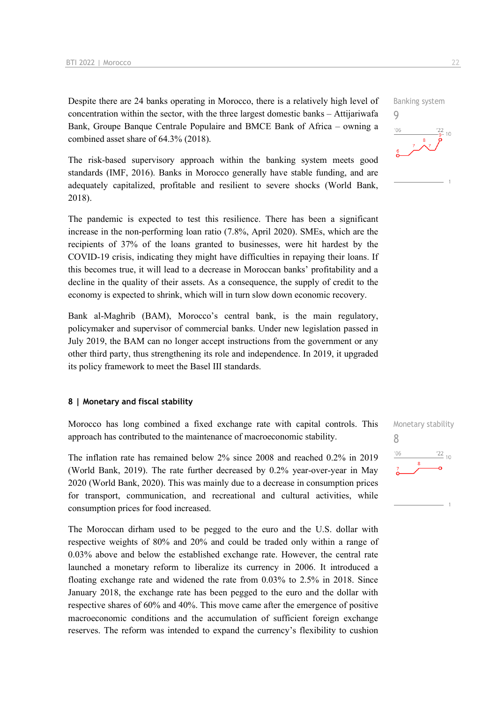Despite there are 24 banks operating in Morocco, there is a relatively high level of concentration within the sector, with the three largest domestic banks – Attijariwafa Bank, Groupe Banque Centrale Populaire and BMCE Bank of Africa – owning a combined asset share of 64.3% (2018).

The risk-based supervisory approach within the banking system meets good standards (IMF, 2016). Banks in Morocco generally have stable funding, and are adequately capitalized, profitable and resilient to severe shocks (World Bank, 2018).

The pandemic is expected to test this resilience. There has been a significant increase in the non-performing loan ratio (7.8%, April 2020). SMEs, which are the recipients of 37% of the loans granted to businesses, were hit hardest by the COVID-19 crisis, indicating they might have difficulties in repaying their loans. If this becomes true, it will lead to a decrease in Moroccan banks' profitability and a decline in the quality of their assets. As a consequence, the supply of credit to the economy is expected to shrink, which will in turn slow down economic recovery.

Bank al-Maghrib (BAM), Morocco's central bank, is the main regulatory, policymaker and supervisor of commercial banks. Under new legislation passed in July 2019, the BAM can no longer accept instructions from the government or any other third party, thus strengthening its role and independence. In 2019, it upgraded its policy framework to meet the Basel III standards.

#### **8 | Monetary and fiscal stability**

Morocco has long combined a fixed exchange rate with capital controls. This approach has contributed to the maintenance of macroeconomic stability.

The inflation rate has remained below 2% since 2008 and reached 0.2% in 2019 (World Bank, 2019). The rate further decreased by 0.2% year-over-year in May 2020 (World Bank, 2020). This was mainly due to a decrease in consumption prices for transport, communication, and recreational and cultural activities, while consumption prices for food increased.

The Moroccan dirham used to be pegged to the euro and the U.S. dollar with respective weights of 80% and 20% and could be traded only within a range of 0.03% above and below the established exchange rate. However, the central rate launched a monetary reform to liberalize its currency in 2006. It introduced a floating exchange rate and widened the rate from 0.03% to 2.5% in 2018. Since January 2018, the exchange rate has been pegged to the euro and the dollar with respective shares of 60% and 40%. This move came after the emergence of positive macroeconomic conditions and the accumulation of sufficient foreign exchange reserves. The reform was intended to expand the currency's flexibility to cushion

 $10$ 

Banking system

Monetary stability

 $\frac{22}{10}$ 

8

 $'06$ 

9

 $06'$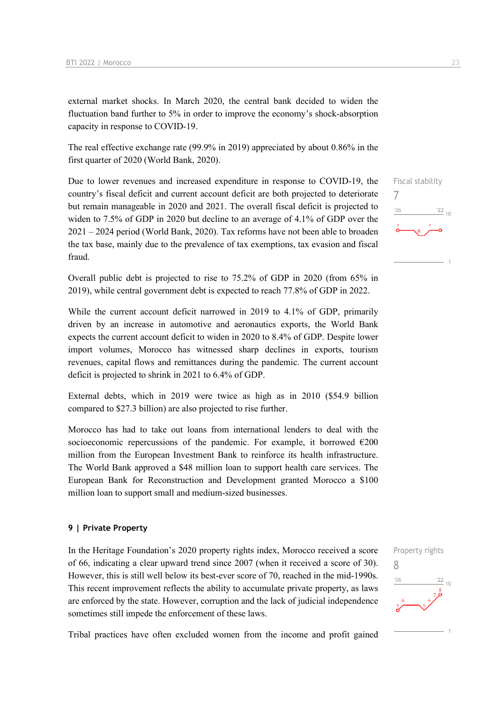external market shocks. In March 2020, the central bank decided to widen the fluctuation band further to 5% in order to improve the economy's shock-absorption capacity in response to COVID-19.

The real effective exchange rate (99.9% in 2019) appreciated by about 0.86% in the first quarter of 2020 (World Bank, 2020).

Due to lower revenues and increased expenditure in response to COVID-19, the country's fiscal deficit and current account deficit are both projected to deteriorate but remain manageable in 2020 and 2021. The overall fiscal deficit is projected to widen to 7.5% of GDP in 2020 but decline to an average of 4.1% of GDP over the 2021 – 2024 period (World Bank, 2020). Tax reforms have not been able to broaden the tax base, mainly due to the prevalence of tax exemptions, tax evasion and fiscal fraud.

Overall public debt is projected to rise to 75.2% of GDP in 2020 (from 65% in 2019), while central government debt is expected to reach 77.8% of GDP in 2022.

While the current account deficit narrowed in 2019 to 4.1% of GDP, primarily driven by an increase in automotive and aeronautics exports, the World Bank expects the current account deficit to widen in 2020 to 8.4% of GDP. Despite lower import volumes, Morocco has witnessed sharp declines in exports, tourism revenues, capital flows and remittances during the pandemic. The current account deficit is projected to shrink in 2021 to 6.4% of GDP.

External debts, which in 2019 were twice as high as in 2010 (\$54.9 billion compared to \$27.3 billion) are also projected to rise further.

Morocco has had to take out loans from international lenders to deal with the socioeconomic repercussions of the pandemic. For example, it borrowed  $\epsilon$ 200 million from the European Investment Bank to reinforce its health infrastructure. The World Bank approved a \$48 million loan to support health care services. The European Bank for Reconstruction and Development granted Morocco a \$100 million loan to support small and medium-sized businesses.

#### **9 | Private Property**

In the Heritage Foundation's 2020 property rights index, Morocco received a score of 66, indicating a clear upward trend since 2007 (when it received a score of 30). However, this is still well below its best-ever score of 70, reached in the mid-1990s. This recent improvement reflects the ability to accumulate private property, as laws are enforced by the state. However, corruption and the lack of judicial independence sometimes still impede the enforcement of these laws.

Property rights 8 $\frac{22}{10}$  $^{\prime}06$ 

Tribal practices have often excluded women from the income and profit gained

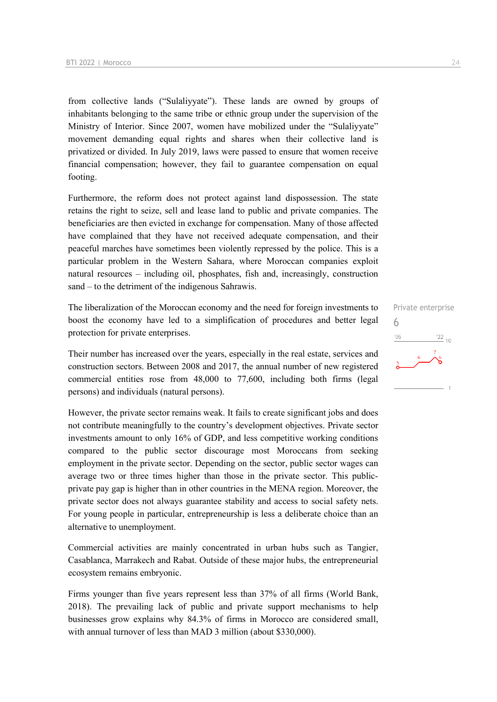from collective lands ("Sulaliyyate"). These lands are owned by groups of inhabitants belonging to the same tribe or ethnic group under the supervision of the Ministry of Interior. Since 2007, women have mobilized under the "Sulaliyyate" movement demanding equal rights and shares when their collective land is privatized or divided. In July 2019, laws were passed to ensure that women receive financial compensation; however, they fail to guarantee compensation on equal footing.

Furthermore, the reform does not protect against land dispossession. The state retains the right to seize, sell and lease land to public and private companies. The beneficiaries are then evicted in exchange for compensation. Many of those affected have complained that they have not received adequate compensation, and their peaceful marches have sometimes been violently repressed by the police. This is a particular problem in the Western Sahara, where Moroccan companies exploit natural resources – including oil, phosphates, fish and, increasingly, construction sand – to the detriment of the indigenous Sahrawis.

The liberalization of the Moroccan economy and the need for foreign investments to boost the economy have led to a simplification of procedures and better legal protection for private enterprises.

Their number has increased over the years, especially in the real estate, services and construction sectors. Between 2008 and 2017, the annual number of new registered commercial entities rose from 48,000 to 77,600, including both firms (legal persons) and individuals (natural persons).

However, the private sector remains weak. It fails to create significant jobs and does not contribute meaningfully to the country's development objectives. Private sector investments amount to only 16% of GDP, and less competitive working conditions compared to the public sector discourage most Moroccans from seeking employment in the private sector. Depending on the sector, public sector wages can average two or three times higher than those in the private sector. This publicprivate pay gap is higher than in other countries in the MENA region. Moreover, the private sector does not always guarantee stability and access to social safety nets. For young people in particular, entrepreneurship is less a deliberate choice than an alternative to unemployment.

Commercial activities are mainly concentrated in urban hubs such as Tangier, Casablanca, Marrakech and Rabat. Outside of these major hubs, the entrepreneurial ecosystem remains embryonic.

Firms younger than five years represent less than 37% of all firms (World Bank, 2018). The prevailing lack of public and private support mechanisms to help businesses grow explains why 84.3% of firms in Morocco are considered small, with annual turnover of less than MAD 3 million (about \$330,000).

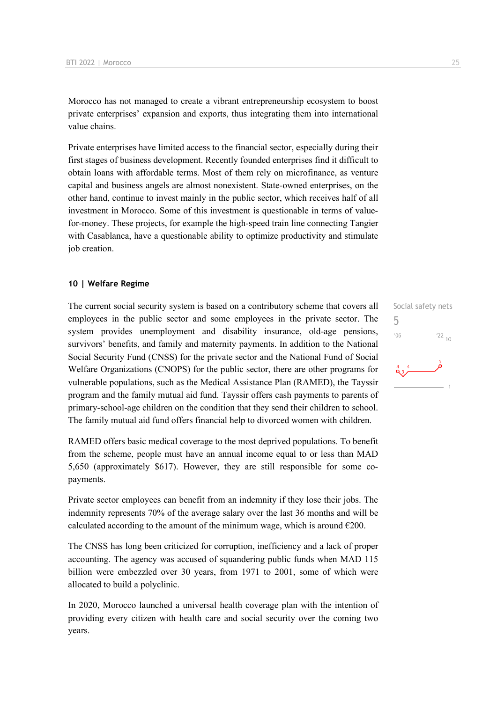Morocco has not managed to create a vibrant entrepreneurship ecosystem to boost private enterprises' expansion and exports, thus integrating them into international value chains.

Private enterprises have limited access to the financial sector, especially during their first stages of business development. Recently founded enterprises find it difficult to obtain loans with affordable terms. Most of them rely on microfinance, as venture capital and business angels are almost nonexistent. State-owned enterprises, on the other hand, continue to invest mainly in the public sector, which receives half of all investment in Morocco. Some of this investment is questionable in terms of valuefor-money. These projects, for example the high-speed train line connecting Tangier with Casablanca, have a questionable ability to optimize productivity and stimulate job creation.

#### **10 | Welfare Regime**

The current social security system is based on a contributory scheme that covers all employees in the public sector and some employees in the private sector. The system provides unemployment and disability insurance, old-age pensions, survivors' benefits, and family and maternity payments. In addition to the National Social Security Fund (CNSS) for the private sector and the National Fund of Social Welfare Organizations (CNOPS) for the public sector, there are other programs for vulnerable populations, such as the Medical Assistance Plan (RAMED), the Tayssir program and the family mutual aid fund. Tayssir offers cash payments to parents of primary-school-age children on the condition that they send their children to school. The family mutual aid fund offers financial help to divorced women with children.

RAMED offers basic medical coverage to the most deprived populations. To benefit from the scheme, people must have an annual income equal to or less than MAD 5,650 (approximately \$617). However, they are still responsible for some copayments.

Private sector employees can benefit from an indemnity if they lose their jobs. The indemnity represents 70% of the average salary over the last 36 months and will be calculated according to the amount of the minimum wage, which is around  $\epsilon$ 200.

The CNSS has long been criticized for corruption, inefficiency and a lack of proper accounting. The agency was accused of squandering public funds when MAD 115 billion were embezzled over 30 years, from 1971 to 2001, some of which were allocated to build a polyclinic.

In 2020, Morocco launched a universal health coverage plan with the intention of providing every citizen with health care and social security over the coming two years.

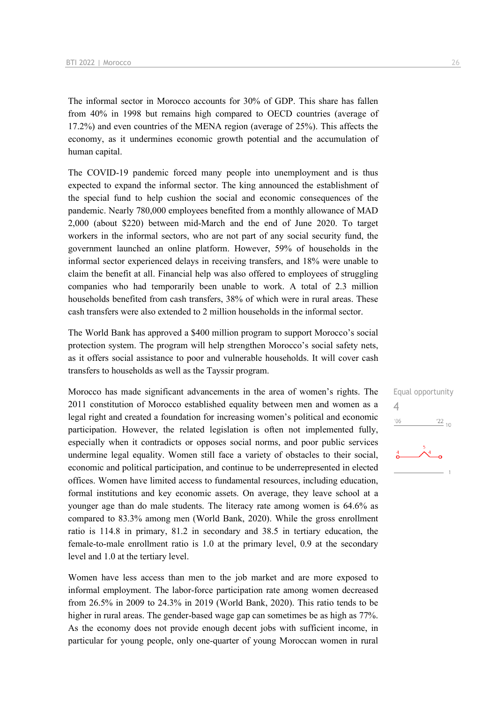The informal sector in Morocco accounts for 30% of GDP. This share has fallen from 40% in 1998 but remains high compared to OECD countries (average of 17.2%) and even countries of the MENA region (average of 25%). This affects the economy, as it undermines economic growth potential and the accumulation of human capital.

The COVID-19 pandemic forced many people into unemployment and is thus expected to expand the informal sector. The king announced the establishment of the special fund to help cushion the social and economic consequences of the pandemic. Nearly 780,000 employees benefited from a monthly allowance of MAD 2,000 (about \$220) between mid-March and the end of June 2020. To target workers in the informal sectors, who are not part of any social security fund, the government launched an online platform. However, 59% of households in the informal sector experienced delays in receiving transfers, and 18% were unable to claim the benefit at all. Financial help was also offered to employees of struggling companies who had temporarily been unable to work. A total of 2.3 million households benefited from cash transfers, 38% of which were in rural areas. These cash transfers were also extended to 2 million households in the informal sector.

The World Bank has approved a \$400 million program to support Morocco's social protection system. The program will help strengthen Morocco's social safety nets, as it offers social assistance to poor and vulnerable households. It will cover cash transfers to households as well as the Tayssir program.

Morocco has made significant advancements in the area of women's rights. The 2011 constitution of Morocco established equality between men and women as a legal right and created a foundation for increasing women's political and economic participation. However, the related legislation is often not implemented fully, especially when it contradicts or opposes social norms, and poor public services undermine legal equality. Women still face a variety of obstacles to their social, economic and political participation, and continue to be underrepresented in elected offices. Women have limited access to fundamental resources, including education, formal institutions and key economic assets. On average, they leave school at a younger age than do male students. The literacy rate among women is 64.6% as compared to 83.3% among men (World Bank, 2020). While the gross enrollment ratio is 114.8 in primary, 81.2 in secondary and 38.5 in tertiary education, the female-to-male enrollment ratio is 1.0 at the primary level, 0.9 at the secondary level and 1.0 at the tertiary level.

Women have less access than men to the job market and are more exposed to informal employment. The labor-force participation rate among women decreased from 26.5% in 2009 to 24.3% in 2019 (World Bank, 2020). This ratio tends to be higher in rural areas. The gender-based wage gap can sometimes be as high as 77%. As the economy does not provide enough decent jobs with sufficient income, in particular for young people, only one-quarter of young Moroccan women in rural

Equal opportunity 4 $'06$  $\frac{22}{10}$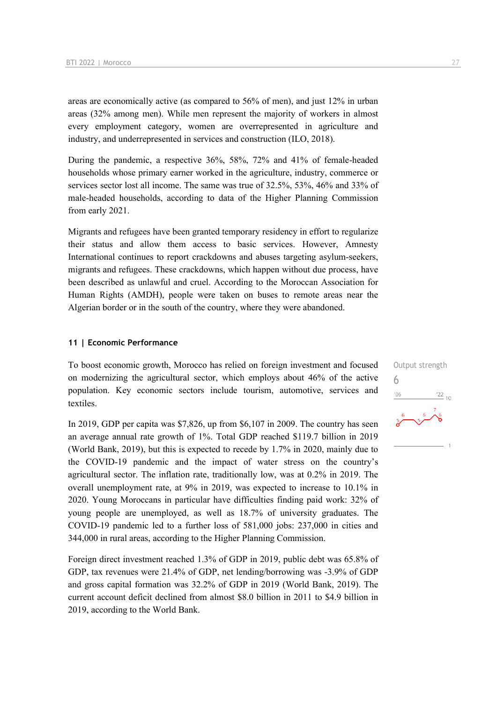areas are economically active (as compared to 56% of men), and just 12% in urban areas (32% among men). While men represent the majority of workers in almost every employment category, women are overrepresented in agriculture and industry, and underrepresented in services and construction (ILO, 2018).

During the pandemic, a respective 36%, 58%, 72% and 41% of female-headed households whose primary earner worked in the agriculture, industry, commerce or services sector lost all income. The same was true of 32.5%, 53%, 46% and 33% of male-headed households, according to data of the Higher Planning Commission from early 2021.

Migrants and refugees have been granted temporary residency in effort to regularize their status and allow them access to basic services. However, Amnesty International continues to report crackdowns and abuses targeting asylum-seekers, migrants and refugees. These crackdowns, which happen without due process, have been described as unlawful and cruel. According to the Moroccan Association for Human Rights (AMDH), people were taken on buses to remote areas near the Algerian border or in the south of the country, where they were abandoned.

#### **11 | Economic Performance**

To boost economic growth, Morocco has relied on foreign investment and focused on modernizing the agricultural sector, which employs about 46% of the active population. Key economic sectors include tourism, automotive, services and textiles.

In 2019, GDP per capita was \$7,826, up from \$6,107 in 2009. The country has seen an average annual rate growth of 1%. Total GDP reached \$119.7 billion in 2019 (World Bank, 2019), but this is expected to recede by 1.7% in 2020, mainly due to the COVID-19 pandemic and the impact of water stress on the country's agricultural sector. The inflation rate, traditionally low, was at 0.2% in 2019. The overall unemployment rate, at 9% in 2019, was expected to increase to 10.1% in 2020. Young Moroccans in particular have difficulties finding paid work: 32% of young people are unemployed, as well as 18.7% of university graduates. The COVID-19 pandemic led to a further loss of 581,000 jobs: 237,000 in cities and 344,000 in rural areas, according to the Higher Planning Commission.

Foreign direct investment reached 1.3% of GDP in 2019, public debt was 65.8% of GDP, tax revenues were 21.4% of GDP, net lending/borrowing was -3.9% of GDP and gross capital formation was 32.2% of GDP in 2019 (World Bank, 2019). The current account deficit declined from almost \$8.0 billion in 2011 to \$4.9 billion in 2019, according to the World Bank.

Output strength 6 $\frac{22}{10}$  $06'$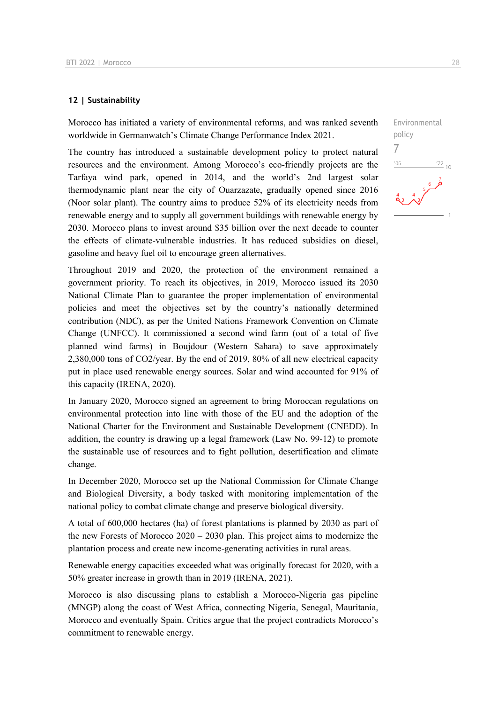#### **12 | Sustainability**

Morocco has initiated a variety of environmental reforms, and was ranked seventh worldwide in Germanwatch's Climate Change Performance Index 2021.

The country has introduced a sustainable development policy to protect natural resources and the environment. Among Morocco's eco-friendly projects are the Tarfaya wind park, opened in 2014, and the world's 2nd largest solar thermodynamic plant near the city of Ouarzazate, gradually opened since 2016 (Noor solar plant). The country aims to produce 52% of its electricity needs from renewable energy and to supply all government buildings with renewable energy by 2030. Morocco plans to invest around \$35 billion over the next decade to counter the effects of climate-vulnerable industries. It has reduced subsidies on diesel, gasoline and heavy fuel oil to encourage green alternatives.

Throughout 2019 and 2020, the protection of the environment remained a government priority. To reach its objectives, in 2019, Morocco issued its 2030 National Climate Plan to guarantee the proper implementation of environmental policies and meet the objectives set by the country's nationally determined contribution (NDC), as per the United Nations Framework Convention on Climate Change (UNFCC). It commissioned a second wind farm (out of a total of five planned wind farms) in Boujdour (Western Sahara) to save approximately 2,380,000 tons of CO2/year. By the end of 2019, 80% of all new electrical capacity put in place used renewable energy sources. Solar and wind accounted for 91% of this capacity (IRENA, 2020).

In January 2020, Morocco signed an agreement to bring Moroccan regulations on environmental protection into line with those of the EU and the adoption of the National Charter for the Environment and Sustainable Development (CNEDD). In addition, the country is drawing up a legal framework (Law No. 99-12) to promote the sustainable use of resources and to fight pollution, desertification and climate change.

In December 2020, Morocco set up the National Commission for Climate Change and Biological Diversity, a body tasked with monitoring implementation of the national policy to combat climate change and preserve biological diversity.

A total of 600,000 hectares (ha) of forest plantations is planned by 2030 as part of the new Forests of Morocco 2020 – 2030 plan. This project aims to modernize the plantation process and create new income-generating activities in rural areas.

Renewable energy capacities exceeded what was originally forecast for 2020, with a 50% greater increase in growth than in 2019 (IRENA, 2021).

Morocco is also discussing plans to establish a Morocco-Nigeria gas pipeline (MNGP) along the coast of West Africa, connecting Nigeria, Senegal, Mauritania, Morocco and eventually Spain. Critics argue that the project contradicts Morocco's commitment to renewable energy.

policy 7 $^{\prime}06$  $\frac{22}{10}$ 

Environmental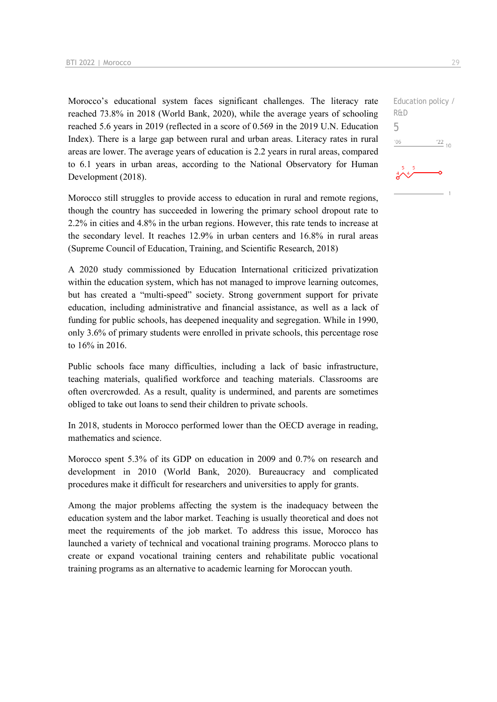Morocco's educational system faces significant challenges. The literacy rate reached 73.8% in 2018 (World Bank, 2020), while the average years of schooling reached 5.6 years in 2019 (reflected in a score of 0.569 in the 2019 U.N. Education Index). There is a large gap between rural and urban areas. Literacy rates in rural areas are lower. The average years of education is 2.2 years in rural areas, compared to 6.1 years in urban areas, according to the National Observatory for Human Development (2018).

Morocco still struggles to provide access to education in rural and remote regions, though the country has succeeded in lowering the primary school dropout rate to 2.2% in cities and 4.8% in the urban regions. However, this rate tends to increase at the secondary level. It reaches 12.9% in urban centers and 16.8% in rural areas (Supreme Council of Education, Training, and Scientific Research, 2018)

A 2020 study commissioned by Education International criticized privatization within the education system, which has not managed to improve learning outcomes, but has created a "multi-speed" society. Strong government support for private education, including administrative and financial assistance, as well as a lack of funding for public schools, has deepened inequality and segregation. While in 1990, only 3.6% of primary students were enrolled in private schools, this percentage rose to 16% in 2016.

Public schools face many difficulties, including a lack of basic infrastructure, teaching materials, qualified workforce and teaching materials. Classrooms are often overcrowded. As a result, quality is undermined, and parents are sometimes obliged to take out loans to send their children to private schools.

In 2018, students in Morocco performed lower than the OECD average in reading, mathematics and science.

Morocco spent 5.3% of its GDP on education in 2009 and 0.7% on research and development in 2010 (World Bank, 2020). Bureaucracy and complicated procedures make it difficult for researchers and universities to apply for grants.

Among the major problems affecting the system is the inadequacy between the education system and the labor market. Teaching is usually theoretical and does not meet the requirements of the job market. To address this issue, Morocco has launched a variety of technical and vocational training programs. Morocco plans to create or expand vocational training centers and rehabilitate public vocational training programs as an alternative to academic learning for Moroccan youth.

Education policy / R&D 5 $-06$  $'22_{10}$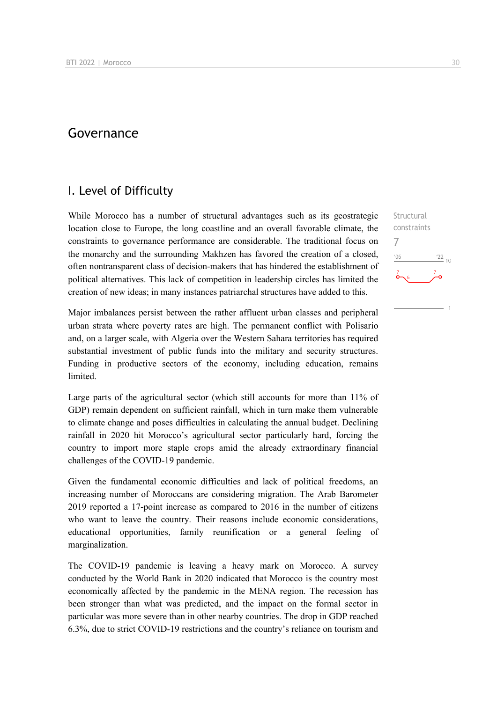## Governance

## I. Level of Difficulty

While Morocco has a number of structural advantages such as its geostrategic location close to Europe, the long coastline and an overall favorable climate, the constraints to governance performance are considerable. The traditional focus on the monarchy and the surrounding Makhzen has favored the creation of a closed, often nontransparent class of decision-makers that has hindered the establishment of political alternatives. This lack of competition in leadership circles has limited the creation of new ideas; in many instances patriarchal structures have added to this.

Major imbalances persist between the rather affluent urban classes and peripheral urban strata where poverty rates are high. The permanent conflict with Polisario and, on a larger scale, with Algeria over the Western Sahara territories has required substantial investment of public funds into the military and security structures. Funding in productive sectors of the economy, including education, remains limited.

Large parts of the agricultural sector (which still accounts for more than 11% of GDP) remain dependent on sufficient rainfall, which in turn make them vulnerable to climate change and poses difficulties in calculating the annual budget. Declining rainfall in 2020 hit Morocco's agricultural sector particularly hard, forcing the country to import more staple crops amid the already extraordinary financial challenges of the COVID-19 pandemic.

Given the fundamental economic difficulties and lack of political freedoms, an increasing number of Moroccans are considering migration. The Arab Barometer 2019 reported a 17-point increase as compared to 2016 in the number of citizens who want to leave the country. Their reasons include economic considerations, educational opportunities, family reunification or a general feeling of marginalization.

The COVID-19 pandemic is leaving a heavy mark on Morocco. A survey conducted by the World Bank in 2020 indicated that Morocco is the country most economically affected by the pandemic in the MENA region. The recession has been stronger than what was predicted, and the impact on the formal sector in particular was more severe than in other nearby countries. The drop in GDP reached 6.3%, due to strict COVID-19 restrictions and the country's reliance on tourism and

Structural constraints

 $^{22}$  10

7 $n<sub>6</sub>$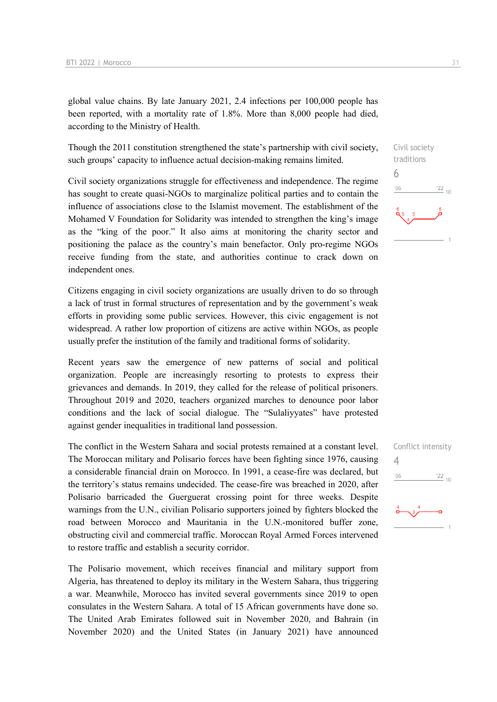global value chains. By late January 2021, 2.4 infections per 100,000 people has been reported, with a mortality rate of 1.8%. More than 8,000 people had died, according to the Ministry of Health.

Though the 2011 constitution strengthened the state's partnership with civil society, such groups' capacity to influence actual decision-making remains limited.

Civil society organizations struggle for effectiveness and independence. The regime has sought to create quasi-NGOs to marginalize political parties and to contain the influence of associations close to the Islamist movement. The establishment of the Mohamed V Foundation for Solidarity was intended to strengthen the king's image as the "king of the poor." It also aims at monitoring the charity sector and positioning the palace as the country's main benefactor. Only pro-regime NGOs receive funding from the state, and authorities continue to crack down on independent ones.

Citizens engaging in civil society organizations are usually driven to do so through a lack of trust in formal structures of representation and by the government's weak efforts in providing some public services. However, this civic engagement is not widespread. A rather low proportion of citizens are active within NGOs, as people usually prefer the institution of the family and traditional forms of solidarity.

Recent years saw the emergence of new patterns of social and political organization. People are increasingly resorting to protests to express their grievances and demands. In 2019, they called for the release of political prisoners. Throughout 2019 and 2020, teachers organized marches to denounce poor labor conditions and the lack of social dialogue. The "Sulaliyyates" have protested against gender inequalities in traditional land possession.

The conflict in the Western Sahara and social protests remained at a constant level. The Moroccan military and Polisario forces have been fighting since 1976, causing a considerable financial drain on Morocco. In 1991, a cease-fire was declared, but the territory's status remains undecided. The cease-fire was breached in 2020, after Polisario barricaded the Guerguerat crossing point for three weeks. Despite warnings from the U.N., civilian Polisario supporters joined by fighters blocked the road between Morocco and Mauritania in the U.N.-monitored buffer zone, obstructing civil and commercial traffic. Moroccan Royal Armed Forces intervened to restore traffic and establish a security corridor.

The Polisario movement, which receives financial and military support from Algeria, has threatened to deploy its military in the Western Sahara, thus triggering a war. Meanwhile, Morocco has invited several governments since 2019 to open consulates in the Western Sahara. A total of 15 African governments have done so. The United Arab Emirates followed suit in November 2020, and Bahrain (in November 2020) and the United States (in January 2021) have announced



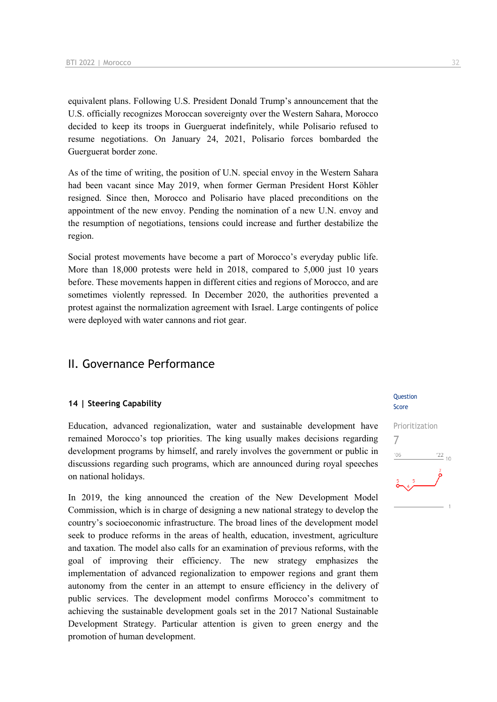equivalent plans. Following U.S. President Donald Trump's announcement that the U.S. officially recognizes Moroccan sovereignty over the Western Sahara, Morocco decided to keep its troops in Guerguerat indefinitely, while Polisario refused to resume negotiations. On January 24, 2021, Polisario forces bombarded the Guerguerat border zone.

As of the time of writing, the position of U.N. special envoy in the Western Sahara had been vacant since May 2019, when former German President Horst Köhler resigned. Since then, Morocco and Polisario have placed preconditions on the appointment of the new envoy. Pending the nomination of a new U.N. envoy and the resumption of negotiations, tensions could increase and further destabilize the region.

Social protest movements have become a part of Morocco's everyday public life. More than 18,000 protests were held in 2018, compared to 5,000 just 10 years before. These movements happen in different cities and regions of Morocco, and are sometimes violently repressed. In December 2020, the authorities prevented a protest against the normalization agreement with Israel. Large contingents of police were deployed with water cannons and riot gear.

## II. Governance Performance

#### **14 | Steering Capability**

Education, advanced regionalization, water and sustainable development have remained Morocco's top priorities. The king usually makes decisions regarding development programs by himself, and rarely involves the government or public in discussions regarding such programs, which are announced during royal speeches on national holidays.

In 2019, the king announced the creation of the New Development Model Commission, which is in charge of designing a new national strategy to develop the country's socioeconomic infrastructure. The broad lines of the development model seek to produce reforms in the areas of health, education, investment, agriculture and taxation. The model also calls for an examination of previous reforms, with the goal of improving their efficiency. The new strategy emphasizes the implementation of advanced regionalization to empower regions and grant them autonomy from the center in an attempt to ensure efficiency in the delivery of public services. The development model confirms Morocco's commitment to achieving the sustainable development goals set in the 2017 National Sustainable Development Strategy. Particular attention is given to green energy and the promotion of human development.

#### **Question** Score

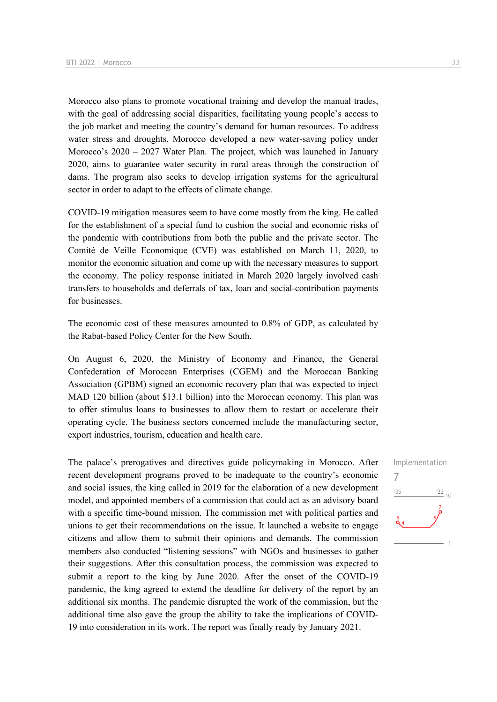Morocco also plans to promote vocational training and develop the manual trades, with the goal of addressing social disparities, facilitating young people's access to the job market and meeting the country's demand for human resources. To address water stress and droughts, Morocco developed a new water-saving policy under Morocco's 2020 – 2027 Water Plan. The project, which was launched in January 2020, aims to guarantee water security in rural areas through the construction of dams. The program also seeks to develop irrigation systems for the agricultural sector in order to adapt to the effects of climate change.

COVID-19 mitigation measures seem to have come mostly from the king. He called for the establishment of a special fund to cushion the social and economic risks of the pandemic with contributions from both the public and the private sector. The Comité de Veille Economique (CVE) was established on March 11, 2020, to monitor the economic situation and come up with the necessary measures to support the economy. The policy response initiated in March 2020 largely involved cash transfers to households and deferrals of tax, loan and social-contribution payments for businesses.

The economic cost of these measures amounted to 0.8% of GDP, as calculated by the Rabat-based Policy Center for the New South.

On August 6, 2020, the Ministry of Economy and Finance, the General Confederation of Moroccan Enterprises (CGEM) and the Moroccan Banking Association (GPBM) signed an economic recovery plan that was expected to inject MAD 120 billion (about \$13.1 billion) into the Moroccan economy. This plan was to offer stimulus loans to businesses to allow them to restart or accelerate their operating cycle. The business sectors concerned include the manufacturing sector, export industries, tourism, education and health care.

The palace's prerogatives and directives guide policymaking in Morocco. After recent development programs proved to be inadequate to the country's economic and social issues, the king called in 2019 for the elaboration of a new development model, and appointed members of a commission that could act as an advisory board with a specific time-bound mission. The commission met with political parties and unions to get their recommendations on the issue. It launched a website to engage citizens and allow them to submit their opinions and demands. The commission members also conducted "listening sessions" with NGOs and businesses to gather their suggestions. After this consultation process, the commission was expected to submit a report to the king by June 2020. After the onset of the COVID-19 pandemic, the king agreed to extend the deadline for delivery of the report by an additional six months. The pandemic disrupted the work of the commission, but the additional time also gave the group the ability to take the implications of COVID-19 into consideration in its work. The report was finally ready by January 2021.

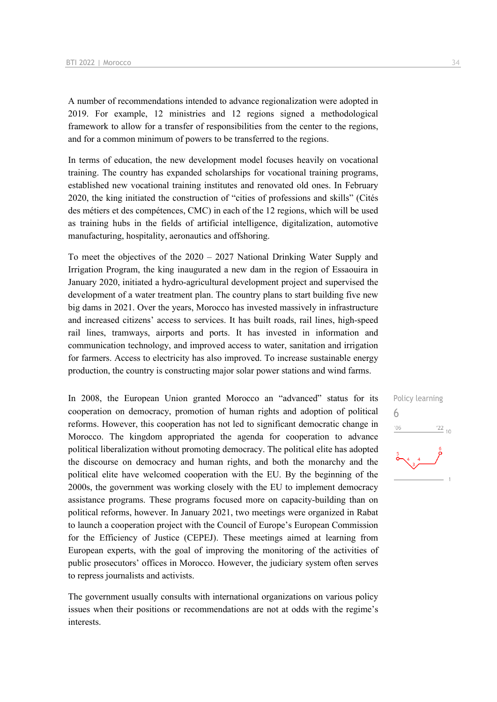A number of recommendations intended to advance regionalization were adopted in 2019. For example, 12 ministries and 12 regions signed a methodological framework to allow for a transfer of responsibilities from the center to the regions, and for a common minimum of powers to be transferred to the regions.

In terms of education, the new development model focuses heavily on vocational training. The country has expanded scholarships for vocational training programs, established new vocational training institutes and renovated old ones. In February 2020, the king initiated the construction of "cities of professions and skills" (Cités des métiers et des compétences, CMC) in each of the 12 regions, which will be used as training hubs in the fields of artificial intelligence, digitalization, automotive manufacturing, hospitality, aeronautics and offshoring.

To meet the objectives of the 2020 – 2027 National Drinking Water Supply and Irrigation Program, the king inaugurated a new dam in the region of Essaouira in January 2020, initiated a hydro-agricultural development project and supervised the development of a water treatment plan. The country plans to start building five new big dams in 2021. Over the years, Morocco has invested massively in infrastructure and increased citizens' access to services. It has built roads, rail lines, high-speed rail lines, tramways, airports and ports. It has invested in information and communication technology, and improved access to water, sanitation and irrigation for farmers. Access to electricity has also improved. To increase sustainable energy production, the country is constructing major solar power stations and wind farms.

In 2008, the European Union granted Morocco an "advanced" status for its cooperation on democracy, promotion of human rights and adoption of political reforms. However, this cooperation has not led to significant democratic change in Morocco. The kingdom appropriated the agenda for cooperation to advance political liberalization without promoting democracy. The political elite has adopted the discourse on democracy and human rights, and both the monarchy and the political elite have welcomed cooperation with the EU. By the beginning of the 2000s, the government was working closely with the EU to implement democracy assistance programs. These programs focused more on capacity-building than on political reforms, however. In January 2021, two meetings were organized in Rabat to launch a cooperation project with the Council of Europe's European Commission for the Efficiency of Justice (CEPEJ). These meetings aimed at learning from European experts, with the goal of improving the monitoring of the activities of public prosecutors' offices in Morocco. However, the judiciary system often serves to repress journalists and activists.

The government usually consults with international organizations on various policy issues when their positions or recommendations are not at odds with the regime's interests.

Policy learning 6 $\frac{22}{10}$  $106$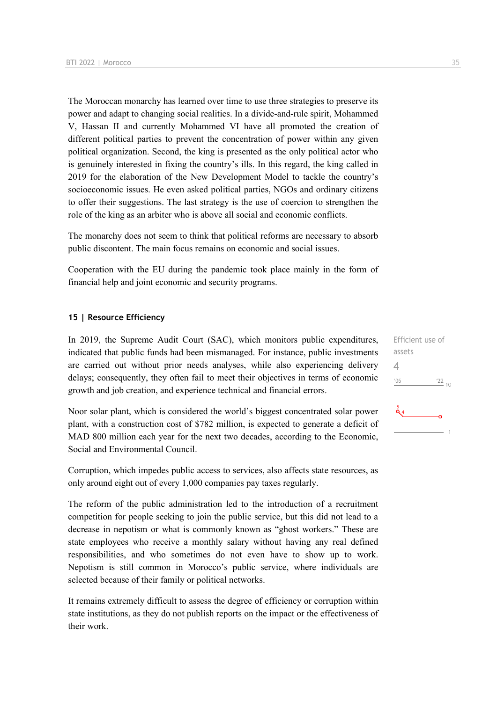The Moroccan monarchy has learned over time to use three strategies to preserve its power and adapt to changing social realities. In a divide-and-rule spirit, Mohammed V, Hassan II and currently Mohammed VI have all promoted the creation of different political parties to prevent the concentration of power within any given political organization. Second, the king is presented as the only political actor who is genuinely interested in fixing the country's ills. In this regard, the king called in 2019 for the elaboration of the New Development Model to tackle the country's socioeconomic issues. He even asked political parties, NGOs and ordinary citizens to offer their suggestions. The last strategy is the use of coercion to strengthen the role of the king as an arbiter who is above all social and economic conflicts.

The monarchy does not seem to think that political reforms are necessary to absorb public discontent. The main focus remains on economic and social issues.

Cooperation with the EU during the pandemic took place mainly in the form of financial help and joint economic and security programs.

#### **15 | Resource Efficiency**

In 2019, the Supreme Audit Court (SAC), which monitors public expenditures, indicated that public funds had been mismanaged. For instance, public investments are carried out without prior needs analyses, while also experiencing delivery delays; consequently, they often fail to meet their objectives in terms of economic growth and job creation, and experience technical and financial errors.

Noor solar plant, which is considered the world's biggest concentrated solar power plant, with a construction cost of \$782 million, is expected to generate a deficit of MAD 800 million each year for the next two decades, according to the Economic, Social and Environmental Council.

Corruption, which impedes public access to services, also affects state resources, as only around eight out of every 1,000 companies pay taxes regularly.

The reform of the public administration led to the introduction of a recruitment competition for people seeking to join the public service, but this did not lead to a decrease in nepotism or what is commonly known as "ghost workers." These are state employees who receive a monthly salary without having any real defined responsibilities, and who sometimes do not even have to show up to work. Nepotism is still common in Morocco's public service, where individuals are selected because of their family or political networks.

It remains extremely difficult to assess the degree of efficiency or corruption within state institutions, as they do not publish reports on the impact or the effectiveness of their work.

Efficient use of assets  $\Delta$  $^{\prime}06$  $^{22}$  10  $\mathbf{a}_4$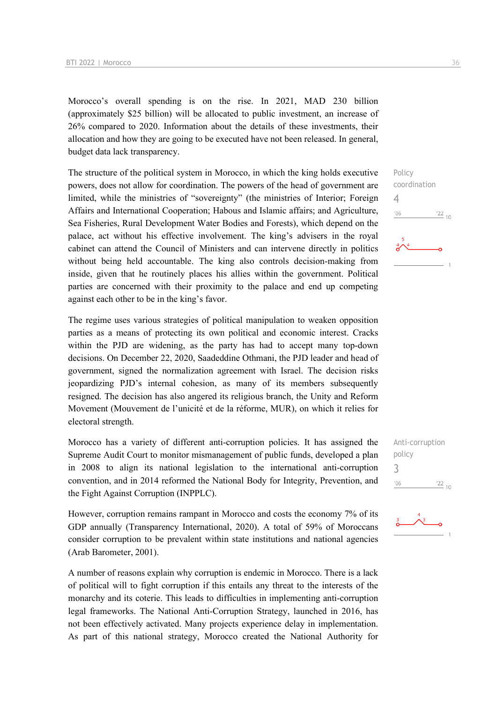Morocco's overall spending is on the rise. In 2021, MAD 230 billion (approximately \$25 billion) will be allocated to public investment, an increase of 26% compared to 2020. Information about the details of these investments, their allocation and how they are going to be executed have not been released. In general, budget data lack transparency.

The structure of the political system in Morocco, in which the king holds executive powers, does not allow for coordination. The powers of the head of government are limited, while the ministries of "sovereignty" (the ministries of Interior; Foreign Affairs and International Cooperation; Habous and Islamic affairs; and Agriculture, Sea Fisheries, Rural Development Water Bodies and Forests), which depend on the palace, act without his effective involvement. The king's advisers in the royal cabinet can attend the Council of Ministers and can intervene directly in politics without being held accountable. The king also controls decision-making from inside, given that he routinely places his allies within the government. Political parties are concerned with their proximity to the palace and end up competing against each other to be in the king's favor.

The regime uses various strategies of political manipulation to weaken opposition parties as a means of protecting its own political and economic interest. Cracks within the PJD are widening, as the party has had to accept many top-down decisions. On December 22, 2020, Saadeddine Othmani, the PJD leader and head of government, signed the normalization agreement with Israel. The decision risks jeopardizing PJD's internal cohesion, as many of its members subsequently resigned. The decision has also angered its religious branch, the Unity and Reform Movement (Mouvement de l'unicité et de la réforme, MUR), on which it relies for electoral strength.

Morocco has a variety of different anti-corruption policies. It has assigned the Supreme Audit Court to monitor mismanagement of public funds, developed a plan in 2008 to align its national legislation to the international anti-corruption convention, and in 2014 reformed the National Body for Integrity, Prevention, and the Fight Against Corruption (INPPLC).

However, corruption remains rampant in Morocco and costs the economy 7% of its GDP annually (Transparency International, 2020). A total of 59% of Moroccans consider corruption to be prevalent within state institutions and national agencies (Arab Barometer, 2001).

A number of reasons explain why corruption is endemic in Morocco. There is a lack of political will to fight corruption if this entails any threat to the interests of the monarchy and its coterie. This leads to difficulties in implementing anti-corruption legal frameworks. The National Anti-Corruption Strategy, launched in 2016, has not been effectively activated. Many projects experience delay in implementation. As part of this national strategy, Morocco created the National Authority for

Policy coordination 4  $\frac{22}{10}$  $'06$ 



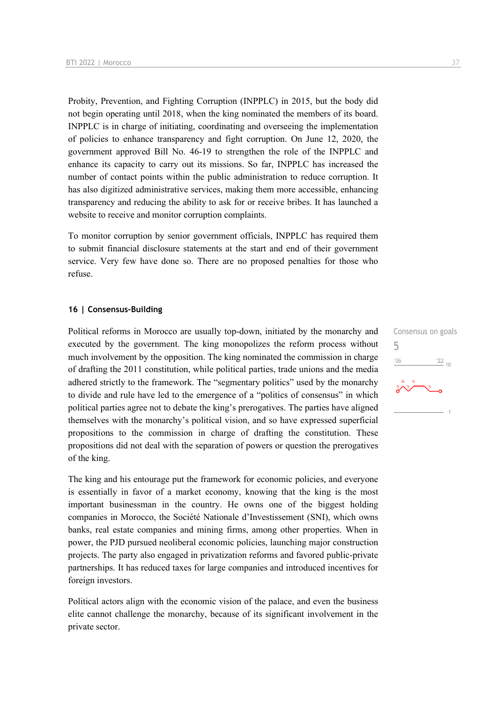Probity, Prevention, and Fighting Corruption (INPPLC) in 2015, but the body did not begin operating until 2018, when the king nominated the members of its board. INPPLC is in charge of initiating, coordinating and overseeing the implementation of policies to enhance transparency and fight corruption. On June 12, 2020, the government approved Bill No. 46-19 to strengthen the role of the INPPLC and enhance its capacity to carry out its missions. So far, INPPLC has increased the number of contact points within the public administration to reduce corruption. It has also digitized administrative services, making them more accessible, enhancing transparency and reducing the ability to ask for or receive bribes. It has launched a website to receive and monitor corruption complaints.

To monitor corruption by senior government officials, INPPLC has required them to submit financial disclosure statements at the start and end of their government service. Very few have done so. There are no proposed penalties for those who refuse.

#### **16 | Consensus-Building**

Political reforms in Morocco are usually top-down, initiated by the monarchy and executed by the government. The king monopolizes the reform process without much involvement by the opposition. The king nominated the commission in charge of drafting the 2011 constitution, while political parties, trade unions and the media adhered strictly to the framework. The "segmentary politics" used by the monarchy to divide and rule have led to the emergence of a "politics of consensus" in which political parties agree not to debate the king's prerogatives. The parties have aligned themselves with the monarchy's political vision, and so have expressed superficial propositions to the commission in charge of drafting the constitution. These propositions did not deal with the separation of powers or question the prerogatives of the king.

The king and his entourage put the framework for economic policies, and everyone is essentially in favor of a market economy, knowing that the king is the most important businessman in the country. He owns one of the biggest holding companies in Morocco, the Société Nationale d'Investissement (SNI), which owns banks, real estate companies and mining firms, among other properties. When in power, the PJD pursued neoliberal economic policies, launching major construction projects. The party also engaged in privatization reforms and favored public-private partnerships. It has reduced taxes for large companies and introduced incentives for foreign investors.

Political actors align with the economic vision of the palace, and even the business elite cannot challenge the monarchy, because of its significant involvement in the private sector.

Consensus on goals 5 $^{\prime}06$  $\frac{22}{10}$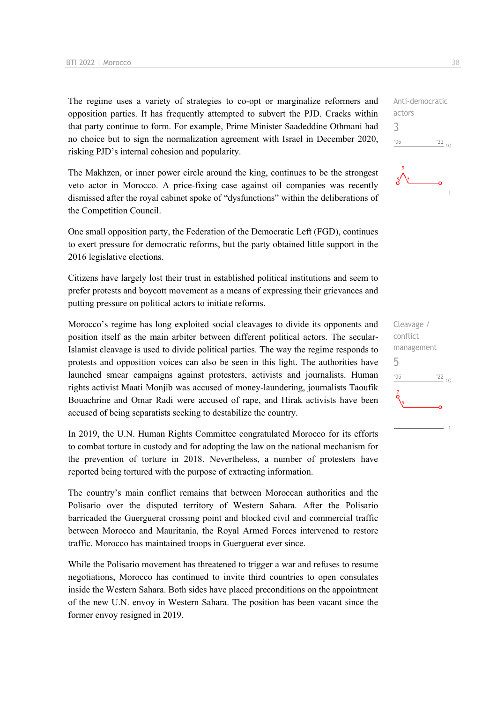The regime uses a variety of strategies to co-opt or marginalize reformers and opposition parties. It has frequently attempted to subvert the PJD. Cracks within that party continue to form. For example, Prime Minister Saadeddine Othmani had no choice but to sign the normalization agreement with Israel in December 2020, risking PJD's internal cohesion and popularity.

The Makhzen, or inner power circle around the king, continues to be the strongest veto actor in Morocco. A price-fixing case against oil companies was recently dismissed after the royal cabinet spoke of "dysfunctions" within the deliberations of the Competition Council.

One small opposition party, the Federation of the Democratic Left (FGD), continues to exert pressure for democratic reforms, but the party obtained little support in the 2016 legislative elections.

Citizens have largely lost their trust in established political institutions and seem to prefer protests and boycott movement as a means of expressing their grievances and putting pressure on political actors to initiate reforms.

Morocco's regime has long exploited social cleavages to divide its opponents and position itself as the main arbiter between different political actors. The secular-Islamist cleavage is used to divide political parties. The way the regime responds to protests and opposition voices can also be seen in this light. The authorities have launched smear campaigns against protesters, activists and journalists. Human rights activist Maati Monjib was accused of money-laundering, journalists Taoufik Bouachrine and Omar Radi were accused of rape, and Hirak activists have been accused of being separatists seeking to destabilize the country.

In 2019, the U.N. Human Rights Committee congratulated Morocco for its efforts to combat torture in custody and for adopting the law on the national mechanism for the prevention of torture in 2018. Nevertheless, a number of protesters have reported being tortured with the purpose of extracting information.

The country's main conflict remains that between Moroccan authorities and the Polisario over the disputed territory of Western Sahara. After the Polisario barricaded the Guerguerat crossing point and blocked civil and commercial traffic between Morocco and Mauritania, the Royal Armed Forces intervened to restore traffic. Morocco has maintained troops in Guerguerat ever since.

While the Polisario movement has threatened to trigger a war and refuses to resume negotiations, Morocco has continued to invite third countries to open consulates inside the Western Sahara. Both sides have placed preconditions on the appointment of the new U.N. envoy in Western Sahara. The position has been vacant since the former envoy resigned in 2019.

Anti-democratic actors 3  $^{\prime}06$  $\frac{22}{10}$ 



Cleavage / conflict management 5 $^{\prime}06$  $\frac{22}{10}$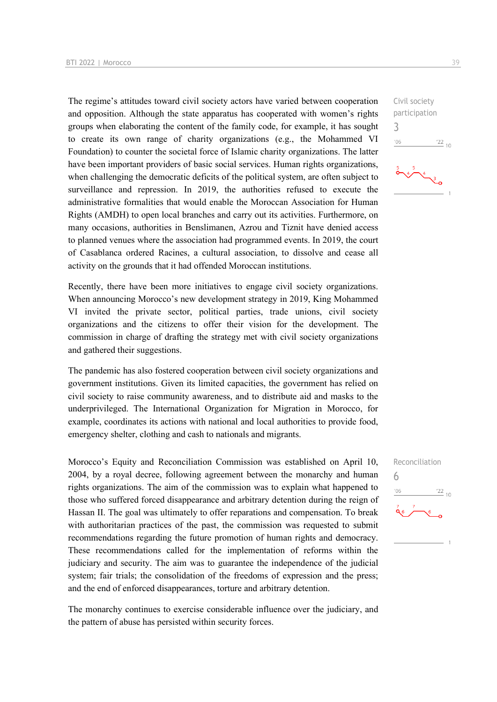The regime's attitudes toward civil society actors have varied between cooperation and opposition. Although the state apparatus has cooperated with women's rights groups when elaborating the content of the family code, for example, it has sought to create its own range of charity organizations (e.g., the Mohammed VI Foundation) to counter the societal force of Islamic charity organizations. The latter have been important providers of basic social services. Human rights organizations, when challenging the democratic deficits of the political system, are often subject to surveillance and repression. In 2019, the authorities refused to execute the administrative formalities that would enable the Moroccan Association for Human Rights (AMDH) to open local branches and carry out its activities. Furthermore, on many occasions, authorities in Benslimanen, Azrou and Tiznit have denied access to planned venues where the association had programmed events. In 2019, the court of Casablanca ordered Racines, a cultural association, to dissolve and cease all activity on the grounds that it had offended Moroccan institutions.

Recently, there have been more initiatives to engage civil society organizations. When announcing Morocco's new development strategy in 2019, King Mohammed VI invited the private sector, political parties, trade unions, civil society organizations and the citizens to offer their vision for the development. The commission in charge of drafting the strategy met with civil society organizations and gathered their suggestions.

The pandemic has also fostered cooperation between civil society organizations and government institutions. Given its limited capacities, the government has relied on civil society to raise community awareness, and to distribute aid and masks to the underprivileged. The International Organization for Migration in Morocco, for example, coordinates its actions with national and local authorities to provide food, emergency shelter, clothing and cash to nationals and migrants.

Morocco's Equity and Reconciliation Commission was established on April 10, 2004, by a royal decree, following agreement between the monarchy and human rights organizations. The aim of the commission was to explain what happened to those who suffered forced disappearance and arbitrary detention during the reign of Hassan II. The goal was ultimately to offer reparations and compensation. To break with authoritarian practices of the past, the commission was requested to submit recommendations regarding the future promotion of human rights and democracy. These recommendations called for the implementation of reforms within the judiciary and security. The aim was to guarantee the independence of the judicial system; fair trials; the consolidation of the freedoms of expression and the press; and the end of enforced disappearances, torture and arbitrary detention.

The monarchy continues to exercise considerable influence over the judiciary, and the pattern of abuse has persisted within security forces.



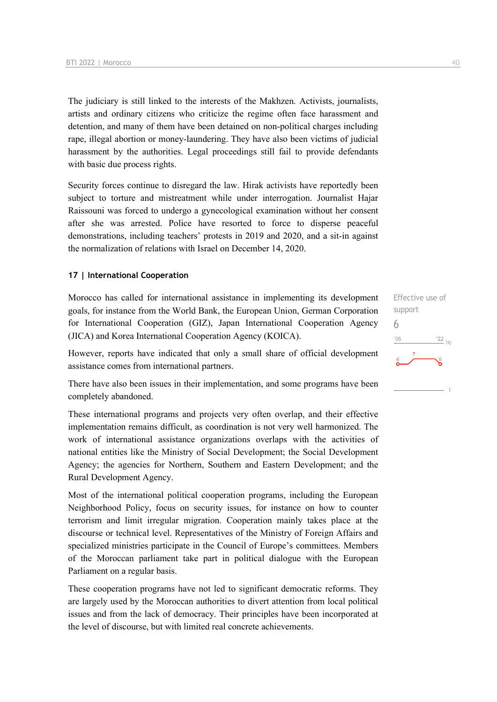The judiciary is still linked to the interests of the Makhzen. Activists, journalists, artists and ordinary citizens who criticize the regime often face harassment and detention, and many of them have been detained on non-political charges including rape, illegal abortion or money-laundering. They have also been victims of judicial harassment by the authorities. Legal proceedings still fail to provide defendants with basic due process rights.

Security forces continue to disregard the law. Hirak activists have reportedly been subject to torture and mistreatment while under interrogation. Journalist Hajar Raissouni was forced to undergo a gynecological examination without her consent after she was arrested. Police have resorted to force to disperse peaceful demonstrations, including teachers' protests in 2019 and 2020, and a sit-in against the normalization of relations with Israel on December 14, 2020.

#### **17 | International Cooperation**

Morocco has called for international assistance in implementing its development goals, for instance from the World Bank, the European Union, German Corporation for International Cooperation (GIZ), Japan International Cooperation Agency (JICA) and Korea International Cooperation Agency (KOICA).

However, reports have indicated that only a small share of official development assistance comes from international partners.

There have also been issues in their implementation, and some programs have been completely abandoned.

These international programs and projects very often overlap, and their effective implementation remains difficult, as coordination is not very well harmonized. The work of international assistance organizations overlaps with the activities of national entities like the Ministry of Social Development; the Social Development Agency; the agencies for Northern, Southern and Eastern Development; and the Rural Development Agency.

Most of the international political cooperation programs, including the European Neighborhood Policy, focus on security issues, for instance on how to counter terrorism and limit irregular migration. Cooperation mainly takes place at the discourse or technical level. Representatives of the Ministry of Foreign Affairs and specialized ministries participate in the Council of Europe's committees. Members of the Moroccan parliament take part in political dialogue with the European Parliament on a regular basis.

These cooperation programs have not led to significant democratic reforms. They are largely used by the Moroccan authorities to divert attention from local political issues and from the lack of democracy. Their principles have been incorporated at the level of discourse, but with limited real concrete achievements.

Effective use of support 6 $\frac{22}{10}$  $-10<sup>1</sup>$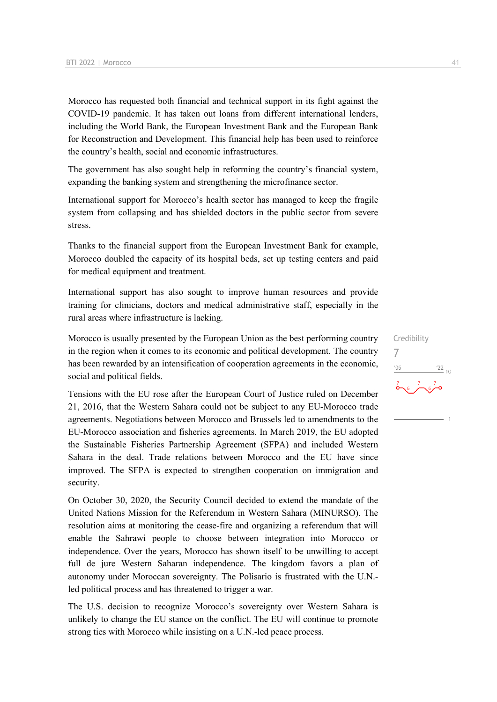Morocco has requested both financial and technical support in its fight against the COVID-19 pandemic. It has taken out loans from different international lenders, including the World Bank, the European Investment Bank and the European Bank for Reconstruction and Development. This financial help has been used to reinforce the country's health, social and economic infrastructures.

The government has also sought help in reforming the country's financial system, expanding the banking system and strengthening the microfinance sector.

International support for Morocco's health sector has managed to keep the fragile system from collapsing and has shielded doctors in the public sector from severe stress.

Thanks to the financial support from the European Investment Bank for example, Morocco doubled the capacity of its hospital beds, set up testing centers and paid for medical equipment and treatment.

International support has also sought to improve human resources and provide training for clinicians, doctors and medical administrative staff, especially in the rural areas where infrastructure is lacking.

Morocco is usually presented by the European Union as the best performing country in the region when it comes to its economic and political development. The country has been rewarded by an intensification of cooperation agreements in the economic, social and political fields.

Tensions with the EU rose after the European Court of Justice ruled on December 21, 2016, that the Western Sahara could not be subject to any EU-Morocco trade agreements. Negotiations between Morocco and Brussels led to amendments to the EU-Morocco association and fisheries agreements. In March 2019, the EU adopted the Sustainable Fisheries Partnership Agreement (SFPA) and included Western Sahara in the deal. Trade relations between Morocco and the EU have since improved. The SFPA is expected to strengthen cooperation on immigration and security.

On October 30, 2020, the Security Council decided to extend the mandate of the United Nations Mission for the Referendum in Western Sahara (MINURSO). The resolution aims at monitoring the cease-fire and organizing a referendum that will enable the Sahrawi people to choose between integration into Morocco or independence. Over the years, Morocco has shown itself to be unwilling to accept full de jure Western Saharan independence. The kingdom favors a plan of autonomy under Moroccan sovereignty. The Polisario is frustrated with the U.N. led political process and has threatened to trigger a war.

The U.S. decision to recognize Morocco's sovereignty over Western Sahara is unlikely to change the EU stance on the conflict. The EU will continue to promote strong ties with Morocco while insisting on a U.N.-led peace process.

Credibility 7 $10^{12}$  $'06$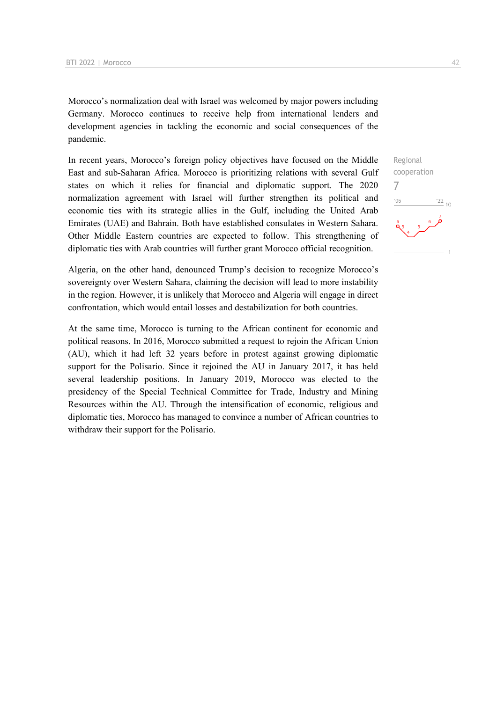Morocco's normalization deal with Israel was welcomed by major powers including Germany. Morocco continues to receive help from international lenders and development agencies in tackling the economic and social consequences of the pandemic.

In recent years, Morocco's foreign policy objectives have focused on the Middle East and sub-Saharan Africa. Morocco is prioritizing relations with several Gulf states on which it relies for financial and diplomatic support. The 2020 normalization agreement with Israel will further strengthen its political and economic ties with its strategic allies in the Gulf, including the United Arab Emirates (UAE) and Bahrain. Both have established consulates in Western Sahara. Other Middle Eastern countries are expected to follow. This strengthening of diplomatic ties with Arab countries will further grant Morocco official recognition.

Algeria, on the other hand, denounced Trump's decision to recognize Morocco's sovereignty over Western Sahara, claiming the decision will lead to more instability in the region. However, it is unlikely that Morocco and Algeria will engage in direct confrontation, which would entail losses and destabilization for both countries.

At the same time, Morocco is turning to the African continent for economic and political reasons. In 2016, Morocco submitted a request to rejoin the African Union (AU), which it had left 32 years before in protest against growing diplomatic support for the Polisario. Since it rejoined the AU in January 2017, it has held several leadership positions. In January 2019, Morocco was elected to the presidency of the Special Technical Committee for Trade, Industry and Mining Resources within the AU. Through the intensification of economic, religious and diplomatic ties, Morocco has managed to convince a number of African countries to withdraw their support for the Polisario.

Regional cooperation 7 $06'$  $\frac{22}{10}$